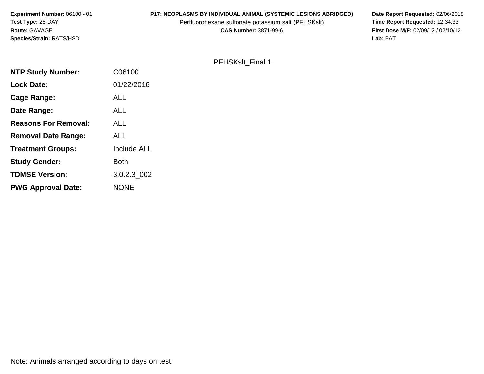# **P17: NEOPLASMS BY INDIVIDUAL ANIMAL (SYSTEMIC LESIONS ABRIDGED)** Date Report Requested: 02/06/2018<br>Perfluorohexane sulfonate potassium salt (PFHSKslt) **Time Report Requested:** 12:34:33

Perfluorohexane sulfonate potassium salt (PFHSKslt)<br>**CAS Number:** 3871-99-6

**First Dose M/F:** 02/09/12 / 02/10/12<br>Lab: BAT **Lab:** BAT

## PFHSKslt\_Final 1

| <b>NTP Study Number:</b>    | C06100             |
|-----------------------------|--------------------|
| <b>Lock Date:</b>           | 01/22/2016         |
| Cage Range:                 | <b>ALL</b>         |
| Date Range:                 | ALL                |
| <b>Reasons For Removal:</b> | ALL                |
| <b>Removal Date Range:</b>  | ALL                |
| <b>Treatment Groups:</b>    | <b>Include ALL</b> |
| <b>Study Gender:</b>        | <b>Both</b>        |
| <b>TDMSE Version:</b>       | 3.0.2.3 002        |
| <b>PWG Approval Date:</b>   | <b>NONE</b>        |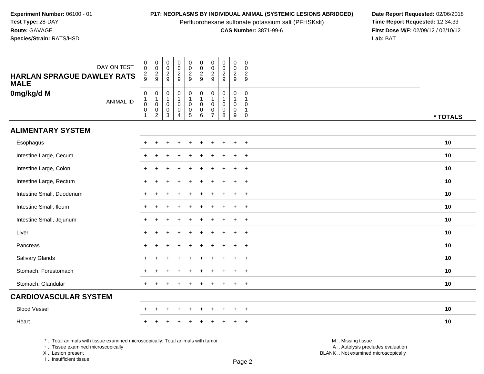Perfluorohexane sulfonate potassium salt (PFHSKslt)<br>**CAS Number:** 3871-99-6

**P17: NEOPLASMS BY INDIVIDUAL ANIMAL (SYSTEMIC LESIONS ABRIDGED)** Date Report Requested: 02/06/2018<br>Perfluorohexane sulfonate potassium salt (PFHSKslt) **Time Report Requested:** 12:34:33 **First Dose M/F:** 02/09/12 / 02/10/12<br>Lab: BAT **Lab:** BAT

| DAY ON TEST<br><b>HARLAN SPRAGUE DAWLEY RATS</b><br><b>MALE</b> | $_{\rm 0}^{\rm 0}$<br>$\frac{2}{9}$                     | $\begin{array}{c} 0 \\ 0 \\ 2 \\ 9 \end{array}$ | $_{\rm 0}^{\rm 0}$<br>$\frac{2}{9}$                           | $\pmb{0}$<br>$\ddot{\mathbf{0}}$<br>$\frac{2}{9}$                                   | $\pmb{0}$<br>$\frac{0}{2}$                                                                           | $_{\rm 0}^{\rm 0}$<br>$\frac{2}{9}$                          | $\pmb{0}$<br>$\mathsf{O}\xspace$<br>$\frac{2}{9}$ | $\begin{array}{c} 0 \\ 0 \\ 2 \\ 9 \end{array}$              | $\pmb{0}$<br>$\ddot{\mathbf{0}}$<br>$\frac{2}{9}$              | $\mathbf 0$<br>$\mathbf 0$<br>$\sqrt{2}$<br>9                           |          |
|-----------------------------------------------------------------|---------------------------------------------------------|-------------------------------------------------|---------------------------------------------------------------|-------------------------------------------------------------------------------------|------------------------------------------------------------------------------------------------------|--------------------------------------------------------------|---------------------------------------------------|--------------------------------------------------------------|----------------------------------------------------------------|-------------------------------------------------------------------------|----------|
| 0mg/kg/d M<br><b>ANIMAL ID</b>                                  | $\pmb{0}$<br>$\mathbf{1}$<br>$\mathbf 0$<br>$\mathbf 0$ | $0$<br>$0$<br>$0$<br>$2$                        | $\begin{matrix} 0 \\ 1 \\ 0 \end{matrix}$<br>$\mathbf 0$<br>3 | $\mathbf 0$<br>$\mathbf{1}$<br>$\mathsf{O}\xspace$<br>$\mathbf 0$<br>$\overline{4}$ | $\begin{smallmatrix}0\1\end{smallmatrix}$<br>$\mathsf{O}\xspace$<br>$\begin{matrix}0\\5\end{matrix}$ | $\mathsf{O}\xspace$<br>$\mathbf{1}$<br>$\mathbf 0$<br>0<br>6 | 0<br>$\mathbf 0$<br>0<br>$\overline{7}$           | $\pmb{0}$<br>$\mathbf{1}$<br>$\mathbf 0$<br>$\mathbf 0$<br>8 | $\mathbf 0$<br>$\mathbf{1}$<br>$\mathbf 0$<br>$\mathbf 0$<br>9 | $\pmb{0}$<br>$\mathbf{1}$<br>$\mathbf 0$<br>$\mathbf{1}$<br>$\mathbf 0$ | * TOTALS |
| <b>ALIMENTARY SYSTEM</b>                                        |                                                         |                                                 |                                                               |                                                                                     |                                                                                                      |                                                              |                                                   |                                                              |                                                                |                                                                         |          |
| Esophagus                                                       | $\div$                                                  |                                                 |                                                               |                                                                                     |                                                                                                      |                                                              |                                                   |                                                              | $\ddot{}$                                                      | $\overline{+}$                                                          | 10       |
| Intestine Large, Cecum                                          | $\div$                                                  |                                                 |                                                               |                                                                                     |                                                                                                      |                                                              |                                                   |                                                              | $\ddot{}$                                                      | $+$                                                                     | 10       |
| Intestine Large, Colon                                          | $+$                                                     |                                                 |                                                               |                                                                                     |                                                                                                      | ÷.                                                           |                                                   |                                                              | $\ddot{}$                                                      | $+$                                                                     | 10       |
| Intestine Large, Rectum                                         | $+$                                                     |                                                 |                                                               |                                                                                     |                                                                                                      |                                                              |                                                   |                                                              | $\ddot{}$                                                      | $+$                                                                     | 10       |
| Intestine Small, Duodenum                                       | $\div$                                                  |                                                 |                                                               |                                                                                     |                                                                                                      |                                                              |                                                   |                                                              | ÷                                                              | $\overline{+}$                                                          | 10       |
| Intestine Small, Ileum                                          | $\div$                                                  |                                                 |                                                               |                                                                                     |                                                                                                      |                                                              |                                                   |                                                              | ÷                                                              | $+$                                                                     | 10       |
| Intestine Small, Jejunum                                        | $\ddot{}$                                               |                                                 |                                                               |                                                                                     |                                                                                                      |                                                              |                                                   |                                                              | $\ddot{}$                                                      | $+$                                                                     | 10       |
| Liver                                                           | $\ddot{}$                                               |                                                 |                                                               |                                                                                     |                                                                                                      |                                                              |                                                   |                                                              | $\ddot{}$                                                      | $+$                                                                     | 10       |
| Pancreas                                                        | $\ddot{}$                                               |                                                 |                                                               |                                                                                     |                                                                                                      |                                                              |                                                   |                                                              | $\ddot{}$                                                      | $+$                                                                     | 10       |
| Salivary Glands                                                 | $\div$                                                  |                                                 |                                                               |                                                                                     |                                                                                                      |                                                              |                                                   |                                                              | $\div$                                                         | $+$                                                                     | 10       |
| Stomach, Forestomach                                            | $\ddot{}$                                               |                                                 |                                                               |                                                                                     |                                                                                                      | ÷                                                            |                                                   |                                                              | $\ddot{}$                                                      | $+$                                                                     | 10       |
| Stomach, Glandular                                              | $+$                                                     |                                                 |                                                               |                                                                                     |                                                                                                      |                                                              |                                                   |                                                              | +                                                              | $+$                                                                     | 10       |
| <b>CARDIOVASCULAR SYSTEM</b>                                    |                                                         |                                                 |                                                               |                                                                                     |                                                                                                      |                                                              |                                                   |                                                              |                                                                |                                                                         |          |
| <b>Blood Vessel</b>                                             | $\ddot{}$                                               | $\div$                                          | ÷                                                             | $\ddot{}$                                                                           | $\ddot{}$                                                                                            | $\ddot{}$                                                    | ÷                                                 |                                                              | $\ddot{}$                                                      | $+$                                                                     | 10       |
| Heart                                                           |                                                         |                                                 |                                                               |                                                                                     |                                                                                                      |                                                              |                                                   |                                                              |                                                                | $\ddot{}$                                                               | 10       |

\* .. Total animals with tissue examined microscopically; Total animals with tumor

+ .. Tissue examined microscopically

X .. Lesion present

I .. Insufficient tissue

 M .. Missing tissuey the contract of the contract of the contract of the contract of the contract of  $\mathsf A$  . Autolysis precludes evaluation

Lesion present BLANK .. Not examined microscopically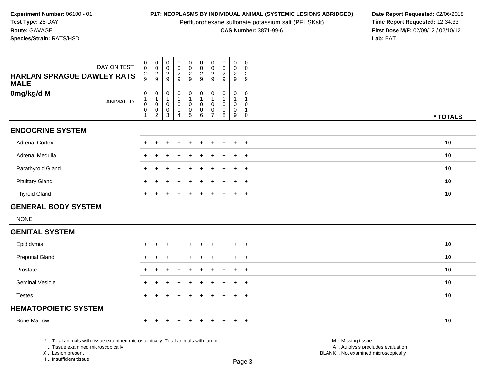Perfluorohexane sulfonate potassium salt (PFHSKslt)<br>**CAS Number:** 3871-99-6

**P17: NEOPLASMS BY INDIVIDUAL ANIMAL (SYSTEMIC LESIONS ABRIDGED)** Date Report Requested: 02/06/2018<br>Perfluorohexane sulfonate potassium salt (PFHSKslt) **Time Report Requested:** 12:34:33 **First Dose M/F:** 02/09/12 / 02/10/12<br>Lab: BAT **Lab:** BAT

| DAY ON TEST                                                                                                                                                         | $\pmb{0}$<br>$\pmb{0}$                                                  | $_{\rm 0}^{\rm 0}$                                                          | $\pmb{0}$<br>$\mathbf 0$                   | $_{\rm 0}^{\rm 0}$                                                        | 0<br>$\pmb{0}$                                                  | $\begin{smallmatrix} 0\\0 \end{smallmatrix}$               | $\pmb{0}$<br>$\mathbf 0$                     | $\pmb{0}$<br>$\frac{0}{2}$                         | $\begin{smallmatrix} 0\\0 \end{smallmatrix}$<br>$\overline{c}$ | $\pmb{0}$<br>$\mathsf{O}\xspace$                                |                                                                                               |          |
|---------------------------------------------------------------------------------------------------------------------------------------------------------------------|-------------------------------------------------------------------------|-----------------------------------------------------------------------------|--------------------------------------------|---------------------------------------------------------------------------|-----------------------------------------------------------------|------------------------------------------------------------|----------------------------------------------|----------------------------------------------------|----------------------------------------------------------------|-----------------------------------------------------------------|-----------------------------------------------------------------------------------------------|----------|
| <b>HARLAN SPRAGUE DAWLEY RATS</b><br><b>MALE</b>                                                                                                                    | $\frac{2}{9}$                                                           | $\frac{2}{9}$                                                               | $\frac{2}{9}$                              | $\frac{2}{9}$                                                             | $\frac{2}{9}$                                                   | $\frac{2}{9}$                                              | $\frac{2}{9}$                                |                                                    | $\overline{9}$                                                 | $\overline{2}$<br>9                                             |                                                                                               |          |
| 0mg/kg/d M<br><b>ANIMAL ID</b>                                                                                                                                      | $\pmb{0}$<br>$\mathbf{1}$<br>$\mathsf 0$<br>$\mathbf 0$<br>$\mathbf{1}$ | $\mathbf 0$<br>$\mathbf{1}$<br>$\mathbf 0$<br>$\mathbf 0$<br>$\overline{2}$ | 0<br>1<br>$\mathbf 0$<br>0<br>$\mathbf{3}$ | $\mathbf 0$<br>$\mathbf{1}$<br>$\mathbf 0$<br>$\pmb{0}$<br>$\overline{4}$ | 0<br>$\mathbf{1}$<br>$\mathbf 0$<br>$\pmb{0}$<br>$\overline{5}$ | $\pmb{0}$<br>$\mathbf{1}$<br>$\mathbf 0$<br>$\pmb{0}$<br>6 | 0<br>1<br>$\mathbf 0$<br>0<br>$\overline{7}$ | 0<br>$\mathbf{1}$<br>$\mathbf 0$<br>$\pmb{0}$<br>8 | 0<br>$\mathbf{1}$<br>$\mathsf{O}\xspace$<br>$\mathbf 0$<br>9   | 0<br>$\mathbf{1}$<br>$\mathbf 0$<br>$\mathbf{1}$<br>$\mathbf 0$ |                                                                                               | * TOTALS |
| <b>ENDOCRINE SYSTEM</b>                                                                                                                                             |                                                                         |                                                                             |                                            |                                                                           |                                                                 |                                                            |                                              |                                                    |                                                                |                                                                 |                                                                                               |          |
| <b>Adrenal Cortex</b>                                                                                                                                               |                                                                         | $\div$                                                                      | ٠                                          |                                                                           | ÷                                                               |                                                            |                                              |                                                    | $\overline{+}$                                                 | $+$                                                             |                                                                                               | 10       |
| Adrenal Medulla                                                                                                                                                     |                                                                         |                                                                             |                                            |                                                                           |                                                                 |                                                            |                                              |                                                    |                                                                | $\overline{+}$                                                  |                                                                                               | 10       |
| Parathyroid Gland                                                                                                                                                   |                                                                         |                                                                             |                                            |                                                                           |                                                                 |                                                            |                                              |                                                    | $\ddot{}$                                                      | $\ddot{}$                                                       |                                                                                               | 10       |
| <b>Pituitary Gland</b>                                                                                                                                              |                                                                         |                                                                             |                                            |                                                                           |                                                                 |                                                            |                                              |                                                    |                                                                | $\ddot{}$                                                       |                                                                                               | 10       |
| <b>Thyroid Gland</b>                                                                                                                                                |                                                                         |                                                                             |                                            |                                                                           |                                                                 |                                                            |                                              |                                                    | $\ddot{}$                                                      | $+$                                                             |                                                                                               | 10       |
| <b>GENERAL BODY SYSTEM</b>                                                                                                                                          |                                                                         |                                                                             |                                            |                                                                           |                                                                 |                                                            |                                              |                                                    |                                                                |                                                                 |                                                                                               |          |
| <b>NONE</b>                                                                                                                                                         |                                                                         |                                                                             |                                            |                                                                           |                                                                 |                                                            |                                              |                                                    |                                                                |                                                                 |                                                                                               |          |
| <b>GENITAL SYSTEM</b>                                                                                                                                               |                                                                         |                                                                             |                                            |                                                                           |                                                                 |                                                            |                                              |                                                    |                                                                |                                                                 |                                                                                               |          |
| Epididymis                                                                                                                                                          |                                                                         |                                                                             |                                            |                                                                           |                                                                 |                                                            |                                              |                                                    |                                                                | $\ddot{}$                                                       |                                                                                               | 10       |
| <b>Preputial Gland</b>                                                                                                                                              |                                                                         |                                                                             |                                            |                                                                           |                                                                 |                                                            |                                              |                                                    | $\ddot{}$                                                      | $+$                                                             |                                                                                               | 10       |
| Prostate                                                                                                                                                            |                                                                         |                                                                             |                                            |                                                                           |                                                                 |                                                            |                                              |                                                    |                                                                | $\overline{+}$                                                  |                                                                                               | 10       |
| Seminal Vesicle                                                                                                                                                     |                                                                         |                                                                             |                                            |                                                                           |                                                                 |                                                            |                                              |                                                    | $\ddot{}$                                                      | $\ddot{}$                                                       |                                                                                               | 10       |
| <b>Testes</b>                                                                                                                                                       |                                                                         |                                                                             |                                            |                                                                           |                                                                 |                                                            |                                              |                                                    | $\ddot{}$                                                      | $\overline{+}$                                                  |                                                                                               | 10       |
| <b>HEMATOPOIETIC SYSTEM</b>                                                                                                                                         |                                                                         |                                                                             |                                            |                                                                           |                                                                 |                                                            |                                              |                                                    |                                                                |                                                                 |                                                                                               |          |
| <b>Bone Marrow</b>                                                                                                                                                  |                                                                         |                                                                             |                                            |                                                                           |                                                                 |                                                            |                                              |                                                    |                                                                | $\ddot{}$                                                       |                                                                                               | $10$     |
| *  Total animals with tissue examined microscopically; Total animals with tumor<br>+  Tissue examined microscopically<br>X  Lesion present<br>I Insufficient tissue |                                                                         |                                                                             |                                            |                                                                           |                                                                 |                                                            |                                              |                                                    |                                                                | Page 3                                                          | M  Missing tissue<br>A  Autolysis precludes evaluation<br>BLANK  Not examined microscopically |          |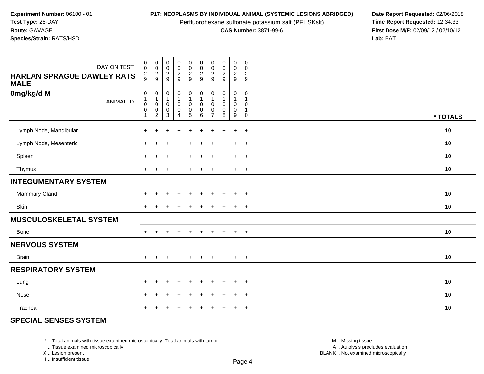Perfluorohexane sulfonate potassium salt (PFHSKslt)<br>**CAS Number:** 3871-99-6

**P17: NEOPLASMS BY INDIVIDUAL ANIMAL (SYSTEMIC LESIONS ABRIDGED)** Date Report Requested: 02/06/2018<br>Perfluorohexane sulfonate potassium salt (PFHSKslt) **Time Report Requested:** 12:34:33 **First Dose M/F:** 02/09/12 / 02/10/12<br>Lab: BAT **Lab:** BAT

| DAY ON TEST<br><b>HARLAN SPRAGUE DAWLEY RATS</b><br><b>MALE</b> | $\pmb{0}$<br>$\mathbf 0$<br>$\frac{2}{9}$ | $\begin{array}{c} 0 \\ 0 \\ 2 \\ 9 \end{array}$                                  | $\begin{smallmatrix} 0\\0\\2 \end{smallmatrix}$<br>9                | $\pmb{0}$<br>$\frac{0}{2}$                        | $\mathbf 0$<br>$\frac{0}{2}$                                  | $\begin{array}{c} 0 \\ 0 \\ 2 \\ 9 \end{array}$    | $\mathbf 0$<br>$\pmb{0}$<br>$\sqrt{2}$<br>9 | $\pmb{0}$<br>$\frac{0}{2}$                           | $\pmb{0}$<br>$\pmb{0}$<br>$\frac{2}{9}$    | $\mathbf 0$<br>$\boldsymbol{0}$<br>$\sqrt{2}$<br>9                        |          |
|-----------------------------------------------------------------|-------------------------------------------|----------------------------------------------------------------------------------|---------------------------------------------------------------------|---------------------------------------------------|---------------------------------------------------------------|----------------------------------------------------|---------------------------------------------|------------------------------------------------------|--------------------------------------------|---------------------------------------------------------------------------|----------|
| 0mg/kg/d M<br><b>ANIMAL ID</b>                                  | $\pmb{0}$<br>0<br>0                       | $\mathbf 0$<br>$\overline{1}$<br>$\pmb{0}$<br>$\boldsymbol{0}$<br>$\overline{2}$ | $\pmb{0}$<br>$\mathbf{1}$<br>$\pmb{0}$<br>$\pmb{0}$<br>$\mathbf{3}$ | $\mathbf 0$<br>1<br>$\mathsf 0$<br>$\pmb{0}$<br>4 | $\pmb{0}$<br>$\mathbf{1}$<br>$\pmb{0}$<br>$\overline{0}$<br>5 | $\pmb{0}$<br>$\mathbf{1}$<br>0<br>$\mathbf 0$<br>6 | 0<br>0<br>0<br>$\overline{7}$               | $\mathbf 0$<br>$\mathbf{1}$<br>0<br>$\mathbf 0$<br>8 | 0<br>$\mathbf{1}$<br>0<br>$\mathbf 0$<br>9 | $\mathbf 0$<br>$\mathbf{1}$<br>$\mathbf 0$<br>$\mathbf{1}$<br>$\mathbf 0$ | * TOTALS |
| Lymph Node, Mandibular                                          |                                           |                                                                                  |                                                                     |                                                   |                                                               |                                                    |                                             |                                                      | $\ddot{}$                                  | $\ddot{}$                                                                 | 10       |
| Lymph Node, Mesenteric                                          | $\pm$                                     |                                                                                  |                                                                     |                                                   |                                                               |                                                    |                                             |                                                      | $\ddot{}$                                  | $\overline{+}$                                                            | 10       |
| Spleen                                                          | $\pm$                                     | ÷                                                                                |                                                                     | $\ddot{}$                                         | $\ddot{}$                                                     | $\ddot{}$                                          | $\pm$                                       | $\div$                                               | $+$                                        | $+$                                                                       | 10       |
| Thymus                                                          | $\ddot{}$                                 |                                                                                  | ÷                                                                   | $\div$                                            | $\pm$                                                         | $\ddot{}$                                          | $\pm$                                       | $\pm$                                                | $+$                                        | $+$                                                                       | 10       |
| <b>INTEGUMENTARY SYSTEM</b>                                     |                                           |                                                                                  |                                                                     |                                                   |                                                               |                                                    |                                             |                                                      |                                            |                                                                           |          |
| Mammary Gland                                                   | $\pm$                                     | $\div$                                                                           | ÷                                                                   | $\ddot{}$                                         |                                                               | $\ddot{}$                                          | ÷                                           |                                                      | $\ddot{}$                                  | $+$                                                                       | 10       |
| Skin                                                            | $\pm$                                     |                                                                                  |                                                                     |                                                   |                                                               | ÷                                                  | +                                           |                                                      | $\ddot{}$                                  | $+$                                                                       | 10       |
| <b>MUSCULOSKELETAL SYSTEM</b>                                   |                                           |                                                                                  |                                                                     |                                                   |                                                               |                                                    |                                             |                                                      |                                            |                                                                           |          |
| Bone                                                            | $+$                                       | $\ddot{}$                                                                        | $\div$                                                              | $\ddot{}$                                         | $\ddot{}$                                                     | $\ddot{}$                                          | $+$                                         | $\overline{+}$                                       | $+$                                        | $+$                                                                       | 10       |
| <b>NERVOUS SYSTEM</b>                                           |                                           |                                                                                  |                                                                     |                                                   |                                                               |                                                    |                                             |                                                      |                                            |                                                                           |          |
| <b>Brain</b>                                                    | $\pm$                                     | $\pm$                                                                            | $\ddot{}$                                                           | $\overline{+}$                                    | $\ddot{}$                                                     | $+$                                                | $\pm$                                       | $\ddot{}$                                            | $+$                                        | $+$                                                                       | 10       |
| <b>RESPIRATORY SYSTEM</b>                                       |                                           |                                                                                  |                                                                     |                                                   |                                                               |                                                    |                                             |                                                      |                                            |                                                                           |          |
| Lung                                                            | $\pm$                                     | ÷                                                                                |                                                                     |                                                   |                                                               | ÷                                                  |                                             |                                                      | $\ddot{}$                                  | $^{+}$                                                                    | 10       |
| Nose                                                            | $\pm$                                     |                                                                                  |                                                                     |                                                   |                                                               |                                                    |                                             |                                                      | +                                          | $+$                                                                       | 10       |
| Trachea                                                         | $\pm$                                     |                                                                                  |                                                                     |                                                   |                                                               |                                                    |                                             |                                                      | $\ddot{}$                                  | $\overline{+}$                                                            | 10       |

## **SPECIAL SENSES SYSTEM**

\* .. Total animals with tissue examined microscopically; Total animals with tumor

+ .. Tissue examined microscopically

X .. Lesion present

I .. Insufficient tissue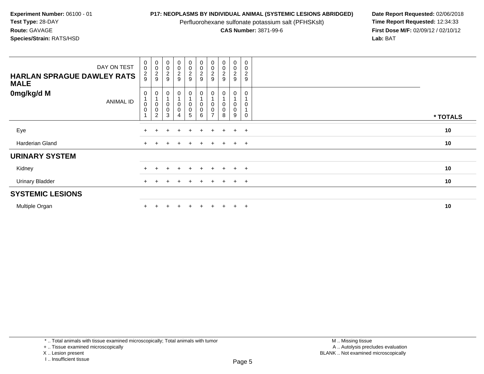Perfluorohexane sulfonate potassium salt (PFHSKslt)<br>**CAS Number:** 3871-99-6

**P17: NEOPLASMS BY INDIVIDUAL ANIMAL (SYSTEMIC LESIONS ABRIDGED)** Date Report Requested: 02/06/2018<br>Perfluorohexane sulfonate potassium salt (PFHSKslt) **Time Report Requested:** 12:34:33 **First Dose M/F:** 02/09/12 / 02/10/12<br>Lab: BAT **Lab:** BAT

| DAY ON TEST<br><b>HARLAN SPRAGUE DAWLEY RATS</b><br><b>MALE</b> | $_{\rm 0}^{\rm 0}$<br>$\frac{2}{9}$ | 00029                                                                               | 0002                                    | $\begin{array}{c} 0 \\ 0 \\ 2 \\ 9 \end{array}$ | $\begin{array}{c} 0 \\ 0 \\ 2 \\ 9 \end{array}$      | $\begin{array}{c} 0 \\ 0 \\ 2 \\ 9 \end{array}$              | 00029                       | $\begin{smallmatrix} 0\\0\\2 \end{smallmatrix}$<br>9 | $\begin{smallmatrix}0\0\0\end{smallmatrix}$<br>$\frac{2}{9}$ | $\pmb{0}$<br>$\mathbf 0$<br>$\overline{c}$<br>$\boldsymbol{9}$ |          |
|-----------------------------------------------------------------|-------------------------------------|-------------------------------------------------------------------------------------|-----------------------------------------|-------------------------------------------------|------------------------------------------------------|--------------------------------------------------------------|-----------------------------|------------------------------------------------------|--------------------------------------------------------------|----------------------------------------------------------------|----------|
| 0mg/kg/d M<br><b>ANIMAL ID</b>                                  | 0<br>$_{\rm 0}^{\rm 0}$             | 0<br>$\overline{A}$<br>$\begin{smallmatrix}0\\0\end{smallmatrix}$<br>$\overline{c}$ | $\mathbf 0$<br>$\mathsf{O}\xspace$<br>3 | 0<br>$_0^0$<br>4                                | 0<br>$\begin{smallmatrix} 0\0\0\5 \end{smallmatrix}$ | 0<br>$\begin{smallmatrix} 0\\0 \end{smallmatrix}$<br>$\,6\,$ | $\pmb{0}$<br>$\overline{ }$ | 0<br>$\boldsymbol{0}$<br>8                           | 0<br>0<br>0<br>9                                             | 0<br>$\mathbf 0$                                               | * TOTALS |
| Eye                                                             |                                     |                                                                                     |                                         |                                                 | ÷.                                                   |                                                              |                             |                                                      | $\ddot{}$                                                    | $+$                                                            | 10       |
| Harderian Gland                                                 | $+$                                 |                                                                                     |                                         |                                                 | $\pm$                                                | $+$                                                          | $\pm$                       | $+$                                                  | $+$                                                          | $+$                                                            | 10       |
| <b>URINARY SYSTEM</b>                                           |                                     |                                                                                     |                                         |                                                 |                                                      |                                                              |                             |                                                      |                                                              |                                                                |          |
| Kidney                                                          |                                     |                                                                                     |                                         |                                                 | $+$                                                  |                                                              |                             | $+$                                                  | $+$                                                          | $+$                                                            | 10       |
| <b>Urinary Bladder</b>                                          |                                     |                                                                                     |                                         | $\div$                                          | $+$                                                  | $+$                                                          | $\pm$                       | $+$                                                  | $+$                                                          | $+$                                                            | 10       |
| <b>SYSTEMIC LESIONS</b>                                         |                                     |                                                                                     |                                         |                                                 |                                                      |                                                              |                             |                                                      |                                                              |                                                                |          |
| Multiple Organ                                                  |                                     |                                                                                     |                                         |                                                 | $+$                                                  | $+$                                                          |                             | $+$                                                  | $\ddot{+}$                                                   | $+$                                                            | 10       |

I .. Insufficient tissue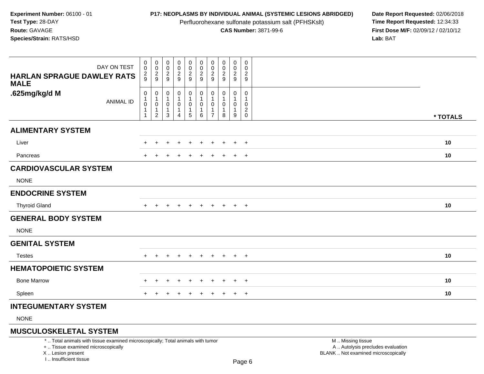Perfluorohexane sulfonate potassium salt (PFHSKslt)<br>**CAS Number:** 3871-99-6

**P17: NEOPLASMS BY INDIVIDUAL ANIMAL (SYSTEMIC LESIONS ABRIDGED)** Date Report Requested: 02/06/2018<br>Perfluorohexane sulfonate potassium salt (PFHSKslt) **Time Report Requested:** 12:34:33 **First Dose M/F:** 02/09/12 / 02/10/12<br>**Lab:** BAT **Lab:** BAT

| DAY ON TEST                                      | 0<br>$\mathbf 0$          | $\mathbf 0$<br>$\mathbf 0$ | 0<br>0                 | $\pmb{0}$<br>$\pmb{0}$    | $\pmb{0}$<br>$\pmb{0}$                    | $\pmb{0}$<br>$\mathbf 0$           | 0<br>0         | 0<br>$\mathbf 0$ | $\mathbf 0$<br>0    | $\mathsf{O}$<br>0   |          |
|--------------------------------------------------|---------------------------|----------------------------|------------------------|---------------------------|-------------------------------------------|------------------------------------|----------------|------------------|---------------------|---------------------|----------|
| <b>HARLAN SPRAGUE DAWLEY RATS</b><br><b>MALE</b> | $\frac{2}{9}$             | $\frac{2}{9}$              | $\frac{2}{9}$          | $\frac{2}{9}$             | $\frac{2}{9}$                             | $\overline{2}$<br>$\boldsymbol{9}$ | 2<br>9         | $\frac{2}{9}$    | $\overline{a}$<br>9 | $\overline{a}$<br>9 |          |
| .625mg/kg/d M                                    | 0<br>$\mathbf{1}$         | 0                          | 0                      | 0<br>$\mathbf{1}$         | $\mathbf 0$                               | $\boldsymbol{0}$<br>$\mathbf{1}$   | 0              | 0                | 0<br>$\mathbf{1}$   | 0                   |          |
| <b>ANIMAL ID</b>                                 | $\pmb{0}$<br>$\mathbf{1}$ | $\mathbf{1}$<br>0<br>1     | -1<br>0<br>$\mathbf 1$ | $\pmb{0}$<br>$\mathbf{1}$ | $\mathbf{1}$<br>$\pmb{0}$<br>$\mathbf{1}$ | $\pmb{0}$<br>$\mathbf{1}$          | 0              | 0<br>1           | 0<br>$\mathbf{1}$   | 0                   |          |
|                                                  | $\mathbf{1}$              | $\overline{c}$             | 3                      | $\overline{4}$            | $\sqrt{5}$                                | $\,6$                              | $\overline{7}$ | 8                | 9                   | $_{0}^{2}$          | * TOTALS |
| <b>ALIMENTARY SYSTEM</b>                         |                           |                            |                        |                           |                                           |                                    |                |                  |                     |                     |          |
| Liver                                            |                           |                            |                        |                           |                                           |                                    |                |                  | $\ddot{}$           | $+$                 | 10       |
| Pancreas                                         | $+$                       | $\div$                     | $\ddot{}$              | $\pm$                     | $\ddot{}$                                 | $\ddot{}$                          | $\ddot{}$      | $\pm$            | $+$                 | $+$                 | 10       |
| <b>CARDIOVASCULAR SYSTEM</b>                     |                           |                            |                        |                           |                                           |                                    |                |                  |                     |                     |          |
| <b>NONE</b>                                      |                           |                            |                        |                           |                                           |                                    |                |                  |                     |                     |          |
| <b>ENDOCRINE SYSTEM</b>                          |                           |                            |                        |                           |                                           |                                    |                |                  |                     |                     |          |
| <b>Thyroid Gland</b>                             |                           |                            |                        |                           |                                           |                                    |                |                  | $+$                 | $+$                 | 10       |
| <b>GENERAL BODY SYSTEM</b>                       |                           |                            |                        |                           |                                           |                                    |                |                  |                     |                     |          |
| <b>NONE</b>                                      |                           |                            |                        |                           |                                           |                                    |                |                  |                     |                     |          |
| <b>GENITAL SYSTEM</b>                            |                           |                            |                        |                           |                                           |                                    |                |                  |                     |                     |          |
| <b>Testes</b>                                    | $+$                       | $\pm$                      |                        |                           | $\pm$                                     |                                    |                |                  | $+$                 | $+$                 | 10       |
| <b>HEMATOPOIETIC SYSTEM</b>                      |                           |                            |                        |                           |                                           |                                    |                |                  |                     |                     |          |
| <b>Bone Marrow</b>                               |                           | $\pm$                      | $\pm$                  | $\div$                    | $\ddot{}$                                 | $\ddot{}$                          | $\pm$          | $\div$           | $+$                 | $+$                 | 10       |
| Spleen                                           |                           |                            |                        |                           | $\ddot{}$                                 | $\pm$                              | $\pm$          |                  | $+$                 | $+$                 | 10       |
| <b>INTEGUMENTARY SYSTEM</b>                      |                           |                            |                        |                           |                                           |                                    |                |                  |                     |                     |          |
|                                                  |                           |                            |                        |                           |                                           |                                    |                |                  |                     |                     |          |

NONE

# **MUSCULOSKELETAL SYSTEM**

\* .. Total animals with tissue examined microscopically; Total animals with tumor

+ .. Tissue examined microscopically

X .. Lesion present

I .. Insufficient tissue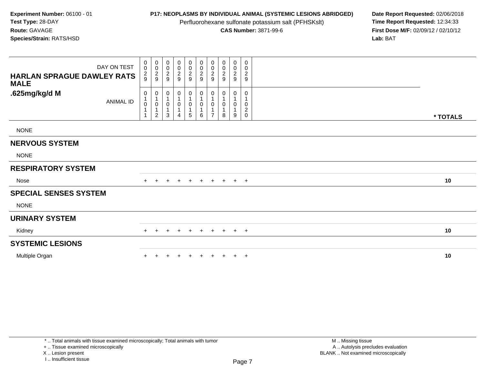Perfluorohexane sulfonate potassium salt (PFHSKslt)<br>**CAS Number:** 3871-99-6

**P17: NEOPLASMS BY INDIVIDUAL ANIMAL (SYSTEMIC LESIONS ABRIDGED)** Date Report Requested: 02/06/2018<br>Perfluorohexane sulfonate potassium salt (PFHSKslt) **Time Report Requested:** 12:34:33 **First Dose M/F:** 02/09/12 / 02/10/12<br>Lab: BAT **Lab:** BAT

| DAY ON TEST<br>HARLAN SPRAGUE DAWLEY RATS<br><b>MALE</b> | $\begin{smallmatrix} 0\\0 \end{smallmatrix}$<br>$\frac{2}{9}$ | $_{\rm 0}^{\rm 0}$<br>$\frac{2}{9}$                             | $_{0}^{0}$<br>$\overline{\mathbf{c}}$<br>9           | $_0^0$<br>$\frac{2}{9}$ | $\begin{array}{c} 0 \\ 0 \\ 2 \\ 9 \end{array}$             | $\begin{array}{c} 0 \\ 0 \\ 2 \\ 9 \end{array}$ | 0<br>$\pmb{0}$<br>$\frac{2}{9}$ | $\begin{smallmatrix}0\\0\end{smallmatrix}$<br>$\boldsymbol{2}$<br>9 | 0<br>$\mathbf 0$<br>$\frac{2}{9}$ | 0<br>$\pmb{0}$<br>$\boldsymbol{2}$<br>$\mathsf g$ |          |
|----------------------------------------------------------|---------------------------------------------------------------|-----------------------------------------------------------------|------------------------------------------------------|-------------------------|-------------------------------------------------------------|-------------------------------------------------|---------------------------------|---------------------------------------------------------------------|-----------------------------------|---------------------------------------------------|----------|
| .625mg/kg/d M<br><b>ANIMAL ID</b>                        | 0<br>$\,0\,$                                                  | 0<br>$\mathbf 1$<br>$\pmb{0}$<br>$\mathbf{1}$<br>$\overline{c}$ | 0<br>$\begin{array}{c} 1 \\ 0 \end{array}$<br>1<br>3 | 0<br>0<br>4             | $\pmb{0}$<br>$\mathbf{1}$<br>$\pmb{0}$<br>$\mathbf{1}$<br>5 | 0<br>$\overline{1}$<br>$\pmb{0}$<br>1<br>6      | 0<br>0<br>$\overline{ }$        | 0<br>0<br>8                                                         | 0<br>0<br>9                       | 0<br>0<br>$\overline{\mathbf{c}}$<br>$\pmb{0}$    | * TOTALS |
| <b>NONE</b>                                              |                                                               |                                                                 |                                                      |                         |                                                             |                                                 |                                 |                                                                     |                                   |                                                   |          |
| <b>NERVOUS SYSTEM</b>                                    |                                                               |                                                                 |                                                      |                         |                                                             |                                                 |                                 |                                                                     |                                   |                                                   |          |
| <b>NONE</b>                                              |                                                               |                                                                 |                                                      |                         |                                                             |                                                 |                                 |                                                                     |                                   |                                                   |          |
| <b>RESPIRATORY SYSTEM</b>                                |                                                               |                                                                 |                                                      |                         |                                                             |                                                 |                                 |                                                                     |                                   |                                                   |          |
| Nose                                                     | $+$                                                           | $+$                                                             | $\ddot{}$                                            | $\ddot{}$               | $+$                                                         | $+$                                             | $+$                             | $+$                                                                 | $+$                               | $+$                                               | 10       |
| <b>SPECIAL SENSES SYSTEM</b>                             |                                                               |                                                                 |                                                      |                         |                                                             |                                                 |                                 |                                                                     |                                   |                                                   |          |
| <b>NONE</b>                                              |                                                               |                                                                 |                                                      |                         |                                                             |                                                 |                                 |                                                                     |                                   |                                                   |          |
| <b>URINARY SYSTEM</b>                                    |                                                               |                                                                 |                                                      |                         |                                                             |                                                 |                                 |                                                                     |                                   |                                                   |          |
| Kidney                                                   | $+$                                                           |                                                                 | ÷                                                    | $\ddot{}$               | $+$                                                         | $+$                                             | $+$                             | $+$                                                                 | $+$                               | $+$                                               | 10       |
| <b>SYSTEMIC LESIONS</b>                                  |                                                               |                                                                 |                                                      |                         |                                                             |                                                 |                                 |                                                                     |                                   |                                                   |          |
| Multiple Organ                                           |                                                               |                                                                 |                                                      | $\pm$                   | $+$                                                         | $+$                                             | $+$                             | $+$                                                                 | $+$                               | $+$                                               | 10       |

+ .. Tissue examined microscopically

X .. Lesion present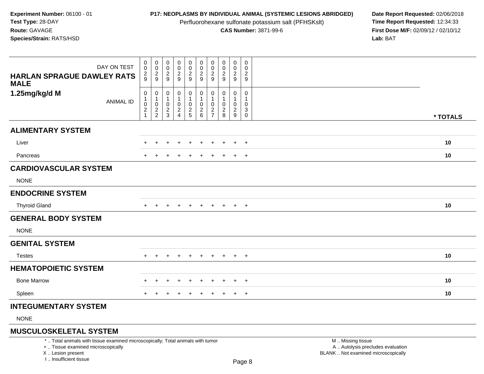Perfluorohexane sulfonate potassium salt (PFHSKslt)<br>**CAS Number:** 3871-99-6

**P17: NEOPLASMS BY INDIVIDUAL ANIMAL (SYSTEMIC LESIONS ABRIDGED)** Date Report Requested: 02/06/2018<br>Perfluorohexane sulfonate potassium salt (PFHSKslt) **Time Report Requested:** 12:34:33 **First Dose M/F:** 02/09/12 / 02/10/12<br>**Lab:** BAT **Lab:** BAT

| DAY ON TEST                                      | $_{\rm 0}^{\rm 0}$                              | $\pmb{0}$<br>$\pmb{0}$                          | 0<br>0                                 |                                                                | $\pmb{0}$<br>$\pmb{0}$                  | $\pmb{0}$<br>$\pmb{0}$                            | 0<br>0                  | 0<br>0                 | $\pmb{0}$<br>$\pmb{0}$                 | 0<br>$\mathbf 0$                                                  |          |  |
|--------------------------------------------------|-------------------------------------------------|-------------------------------------------------|----------------------------------------|----------------------------------------------------------------|-----------------------------------------|---------------------------------------------------|-------------------------|------------------------|----------------------------------------|-------------------------------------------------------------------|----------|--|
| <b>HARLAN SPRAGUE DAWLEY RATS</b><br><b>MALE</b> | $\frac{2}{9}$                                   | $\frac{2}{9}$                                   | $\frac{2}{9}$                          | 00029                                                          | $\frac{2}{9}$                           | $\sqrt{2}$<br>$\overline{9}$                      | $\frac{2}{9}$           | $\frac{2}{9}$          | $\frac{2}{9}$                          | $\overline{a}$<br>9                                               |          |  |
| 1.25mg/kg/d M<br><b>ANIMAL ID</b>                | 0<br>$\mathbf{1}$<br>$\pmb{0}$<br>$\frac{2}{1}$ | 0<br>$\mathbf{1}$<br>$\pmb{0}$<br>$\frac{2}{2}$ | 0<br>$\mathbf 1$<br>0<br>$\frac{2}{3}$ | $\boldsymbol{0}$<br>$\mathbf{1}$<br>$\pmb{0}$<br>$\frac{2}{4}$ | 0<br>$\mathbf{1}$<br>0<br>$\frac{2}{5}$ | 0<br>$\mathbf{1}$<br>$\mathbf 0$<br>$\frac{2}{6}$ | 0<br>0<br>$\frac{2}{7}$ | 0<br>0<br>$^2_{\bf 8}$ | 0<br>1<br>$\mathbf 0$<br>$\frac{2}{9}$ | 0<br>1<br>$\mathbf 0$<br>$\ensuremath{\mathsf{3}}$<br>$\mathbf 0$ | * TOTALS |  |
| <b>ALIMENTARY SYSTEM</b>                         |                                                 |                                                 |                                        |                                                                |                                         |                                                   |                         |                        |                                        |                                                                   |          |  |
| Liver                                            |                                                 |                                                 |                                        |                                                                |                                         |                                                   |                         |                        | $\ddot{}$                              | $+$                                                               | 10       |  |
| Pancreas                                         |                                                 |                                                 |                                        |                                                                | $\pm$                                   |                                                   |                         |                        | $\pm$                                  | $+$                                                               | 10       |  |
| <b>CARDIOVASCULAR SYSTEM</b>                     |                                                 |                                                 |                                        |                                                                |                                         |                                                   |                         |                        |                                        |                                                                   |          |  |
| <b>NONE</b>                                      |                                                 |                                                 |                                        |                                                                |                                         |                                                   |                         |                        |                                        |                                                                   |          |  |
| <b>ENDOCRINE SYSTEM</b>                          |                                                 |                                                 |                                        |                                                                |                                         |                                                   |                         |                        |                                        |                                                                   |          |  |
| <b>Thyroid Gland</b>                             | $+$                                             | ÷                                               |                                        |                                                                |                                         |                                                   |                         |                        | $+$                                    | $+$                                                               | 10       |  |
| <b>GENERAL BODY SYSTEM</b>                       |                                                 |                                                 |                                        |                                                                |                                         |                                                   |                         |                        |                                        |                                                                   |          |  |
| <b>NONE</b>                                      |                                                 |                                                 |                                        |                                                                |                                         |                                                   |                         |                        |                                        |                                                                   |          |  |
| <b>GENITAL SYSTEM</b>                            |                                                 |                                                 |                                        |                                                                |                                         |                                                   |                         |                        |                                        |                                                                   |          |  |
| <b>Testes</b>                                    | $+$                                             | $\ddot{}$                                       |                                        |                                                                | $\ddot{}$                               | $\ddot{}$                                         | ÷                       | $\pm$                  | $+$                                    | $+$                                                               | 10       |  |
| <b>HEMATOPOIETIC SYSTEM</b>                      |                                                 |                                                 |                                        |                                                                |                                         |                                                   |                         |                        |                                        |                                                                   |          |  |
| <b>Bone Marrow</b>                               |                                                 | $\ddot{}$                                       | +                                      | $\div$                                                         | $\ddot{}$                               | $\ddot{}$                                         | $\pm$                   | $\div$                 | $\ddot{}$                              | $+$                                                               | 10       |  |
| Spleen                                           | $+$                                             | +                                               |                                        | $\pm$                                                          | $\ddot{}$                               | $\ddot{}$                                         | $\pm$                   | $\ddot{}$              | $+$                                    | $+$                                                               | 10       |  |
| <b>INTEGUMENTARY SYSTEM</b>                      |                                                 |                                                 |                                        |                                                                |                                         |                                                   |                         |                        |                                        |                                                                   |          |  |
|                                                  |                                                 |                                                 |                                        |                                                                |                                         |                                                   |                         |                        |                                        |                                                                   |          |  |

NONE

## **MUSCULOSKELETAL SYSTEM**

\* .. Total animals with tissue examined microscopically; Total animals with tumor

+ .. Tissue examined microscopically

X .. Lesion present

I .. Insufficient tissue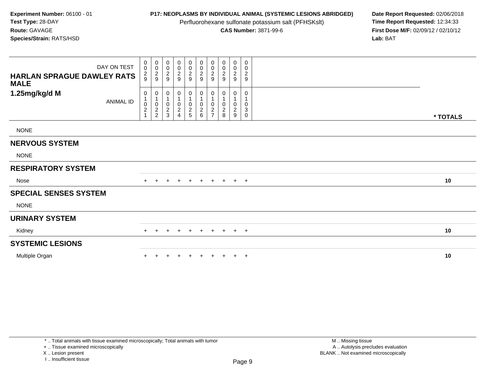Perfluorohexane sulfonate potassium salt (PFHSKslt)<br>**CAS Number:** 3871-99-6

**P17: NEOPLASMS BY INDIVIDUAL ANIMAL (SYSTEMIC LESIONS ABRIDGED)** Date Report Requested: 02/06/2018<br>Perfluorohexane sulfonate potassium salt (PFHSKslt) **Time Report Requested:** 12:34:33 **First Dose M/F:** 02/09/12 / 02/10/12<br>Lab: BAT **Lab:** BAT

| DAY ON TEST                       | 0<br>$\boldsymbol{0}$                        | $\mathbf 0$<br>$\,0\,$      | $\pmb{0}$<br>$\mathbf 0$    | $\begin{smallmatrix}0\0\0\end{smallmatrix}$ | $_0^0$        | $\begin{array}{c} 0 \\ 0 \\ 2 \\ 9 \end{array}$ | 0<br>$\pmb{0}$                     | $\pmb{0}$<br>$\pmb{0}$ | $\mathbf 0$<br>$\pmb{0}$ | 0<br>$\pmb{0}$            |          |
|-----------------------------------|----------------------------------------------|-----------------------------|-----------------------------|---------------------------------------------|---------------|-------------------------------------------------|------------------------------------|------------------------|--------------------------|---------------------------|----------|
| <b>HARLAN SPRAGUE DAWLEY RATS</b> | $\frac{2}{9}$                                | $\frac{2}{9}$               | $\frac{2}{9}$               | $\frac{2}{9}$                               | $\frac{2}{9}$ |                                                 | $\sqrt{2}$                         | $\boldsymbol{2}$       | $\overline{c}$           | $\overline{c}$            |          |
| <b>MALE</b>                       |                                              |                             |                             |                                             |               |                                                 | 9                                  | 9                      | 9                        | $9\,$                     |          |
| 1.25mg/kg/d M                     | 0                                            | $\mathbf 0$                 | 0                           | 0                                           | $\mathbf 0$   | $\boldsymbol{0}$                                | 0                                  | 0                      | 0                        | 0                         |          |
| <b>ANIMAL ID</b>                  |                                              | $\mathbf{1}$<br>$\mathbf 0$ | $\mathbf{1}$<br>$\mathbf 0$ |                                             | 0             | $\overline{1}$                                  | 1<br>0                             | $\pmb{0}$              | 0                        | $\pmb{0}$                 |          |
|                                   | $\begin{smallmatrix} 0\\2 \end{smallmatrix}$ | $\sqrt{2}$                  | $\frac{2}{3}$               | $\frac{0}{2}$                               | $\frac{2}{5}$ | $\begin{array}{c} 0 \\ 2 \\ 6 \end{array}$      | $\boldsymbol{2}$<br>$\overline{z}$ | $\boldsymbol{2}$       | $\overline{c}$           | $\ensuremath{\mathsf{3}}$ |          |
|                                   |                                              | $\overline{c}$              |                             |                                             |               |                                                 |                                    | 8                      | $\boldsymbol{9}$         | $\mathsf{O}$              | * TOTALS |
| <b>NONE</b>                       |                                              |                             |                             |                                             |               |                                                 |                                    |                        |                          |                           |          |
| <b>NERVOUS SYSTEM</b>             |                                              |                             |                             |                                             |               |                                                 |                                    |                        |                          |                           |          |
| <b>NONE</b>                       |                                              |                             |                             |                                             |               |                                                 |                                    |                        |                          |                           |          |
| <b>RESPIRATORY SYSTEM</b>         |                                              |                             |                             |                                             |               |                                                 |                                    |                        |                          |                           |          |
| Nose                              | $+$                                          | $\div$                      | $\div$                      | $\ddot{}$                                   | $\ddot{}$     | $+$                                             | $\ddot{}$                          | $+$                    | $+$                      | $+$                       | 10       |
| <b>SPECIAL SENSES SYSTEM</b>      |                                              |                             |                             |                                             |               |                                                 |                                    |                        |                          |                           |          |
| <b>NONE</b>                       |                                              |                             |                             |                                             |               |                                                 |                                    |                        |                          |                           |          |
| <b>URINARY SYSTEM</b>             |                                              |                             |                             |                                             |               |                                                 |                                    |                        |                          |                           |          |
| Kidney                            | $\pm$                                        |                             |                             | $\pm$                                       | $\pm$         | $+$                                             | $\pm$                              | $+$                    | $+$                      | $+$                       | 10       |
| <b>SYSTEMIC LESIONS</b>           |                                              |                             |                             |                                             |               |                                                 |                                    |                        |                          |                           |          |
| Multiple Organ                    |                                              |                             |                             | $\div$                                      |               |                                                 |                                    |                        | $+$                      | $+$                       | 10       |

+ .. Tissue examined microscopically

X .. Lesion present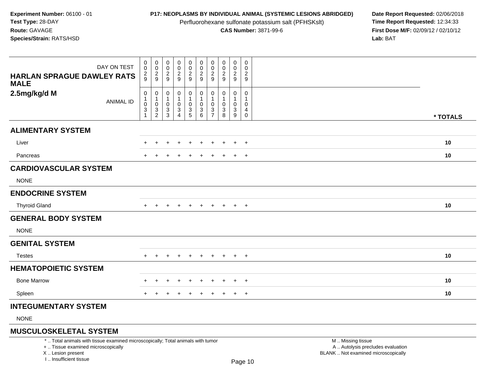Perfluorohexane sulfonate potassium salt (PFHSKslt)<br>**CAS Number:** 3871-99-6

**P17: NEOPLASMS BY INDIVIDUAL ANIMAL (SYSTEMIC LESIONS ABRIDGED)** Date Report Requested: 02/06/2018<br>Perfluorohexane sulfonate potassium salt (PFHSKslt) **Time Report Requested:** 12:34:33 **First Dose M/F:** 02/09/12 / 02/10/12<br>**Lab:** BAT **Lab:** BAT

| DAY ON TEST                                      | 0<br>$\mathbf 0$                       | $\pmb{0}$<br>$\pmb{0}$             | 0<br>0                             | $\begin{array}{c} 0 \\ 0 \\ 2 \\ 9 \end{array}$ | $\pmb{0}$<br>$\pmb{0}$     | $\pmb{0}$<br>$\pmb{0}$                             | 0<br>0                   | 0<br>0              | $\pmb{0}$<br>$\pmb{0}$ | 0<br>0                                       |          |
|--------------------------------------------------|----------------------------------------|------------------------------------|------------------------------------|-------------------------------------------------|----------------------------|----------------------------------------------------|--------------------------|---------------------|------------------------|----------------------------------------------|----------|
| <b>HARLAN SPRAGUE DAWLEY RATS</b><br><b>MALE</b> | $\frac{2}{9}$                          | $\overline{c}$<br>$\boldsymbol{9}$ | $\overline{2}$<br>$\boldsymbol{9}$ |                                                 | $\frac{2}{9}$              | $\sqrt{2}$<br>$\overline{9}$                       | $\overline{c}$<br>9      | $\overline{2}$<br>9 | $\overline{c}$<br>9    | $\overline{2}$<br>9                          |          |
| 2.5mg/kg/d M                                     | 0<br>$\mathbf{1}$                      | 0<br>$\mathbf{1}$                  | 0                                  | 0<br>$\mathbf{1}$                               | 0<br>$\mathbf{1}$          | 0<br>$\mathbf{1}$                                  | 0                        | 0                   | 0<br>1                 | 0                                            |          |
| <b>ANIMAL ID</b>                                 | $\pmb{0}$<br>$\ensuremath{\mathsf{3}}$ | $\pmb{0}$<br>$\frac{3}{2}$         | 0<br>$\sqrt{3}$<br>3               | $\pmb{0}$<br>$\frac{3}{4}$                      | $\pmb{0}$<br>$\frac{3}{5}$ | $\pmb{0}$<br>$\begin{array}{c} 3 \\ 6 \end{array}$ | 0<br>3<br>$\overline{7}$ | 0<br>3<br>8         | 0<br>$\frac{3}{9}$     | $\mathbf 0$<br>$\overline{4}$<br>$\mathbf 0$ |          |
|                                                  |                                        |                                    |                                    |                                                 |                            |                                                    |                          |                     |                        |                                              | * TOTALS |
| <b>ALIMENTARY SYSTEM</b>                         |                                        |                                    |                                    |                                                 |                            |                                                    |                          |                     |                        |                                              |          |
| Liver                                            |                                        |                                    |                                    |                                                 |                            |                                                    |                          |                     | $\ddot{}$              | $+$                                          | 10       |
| Pancreas                                         |                                        |                                    | +                                  | ٠                                               | $\ddot{}$                  | $\ddot{}$                                          | ÷                        |                     | $\ddot{}$              | $+$                                          | 10       |
| <b>CARDIOVASCULAR SYSTEM</b>                     |                                        |                                    |                                    |                                                 |                            |                                                    |                          |                     |                        |                                              |          |
| <b>NONE</b>                                      |                                        |                                    |                                    |                                                 |                            |                                                    |                          |                     |                        |                                              |          |
| <b>ENDOCRINE SYSTEM</b>                          |                                        |                                    |                                    |                                                 |                            |                                                    |                          |                     |                        |                                              |          |
| <b>Thyroid Gland</b>                             | $+$                                    | $\pm$                              |                                    |                                                 | $\ddot{}$                  | $\ddot{}$                                          | $\ddot{}$                | $\pm$               | $+$                    | $+$                                          | 10       |
| <b>GENERAL BODY SYSTEM</b>                       |                                        |                                    |                                    |                                                 |                            |                                                    |                          |                     |                        |                                              |          |
| <b>NONE</b>                                      |                                        |                                    |                                    |                                                 |                            |                                                    |                          |                     |                        |                                              |          |
| <b>GENITAL SYSTEM</b>                            |                                        |                                    |                                    |                                                 |                            |                                                    |                          |                     |                        |                                              |          |
| <b>Testes</b>                                    | $+$                                    | $\ddot{}$                          | +                                  |                                                 | $\ddot{}$                  | $\pm$                                              | $\ddot{}$                | $+$                 | $+$                    | $+$                                          | 10       |
| <b>HEMATOPOIETIC SYSTEM</b>                      |                                        |                                    |                                    |                                                 |                            |                                                    |                          |                     |                        |                                              |          |
| <b>Bone Marrow</b>                               |                                        |                                    |                                    |                                                 |                            |                                                    |                          |                     | $\mathbf +$            | $+$                                          | 10       |
| Spleen                                           |                                        |                                    | ┿                                  |                                                 | $\ddot{}$                  | $\ddot{}$                                          | ÷                        | $\ddot{}$           | $+$                    | $+$                                          | 10       |
| <b>INTEGUMENTARY SYSTEM</b>                      |                                        |                                    |                                    |                                                 |                            |                                                    |                          |                     |                        |                                              |          |

NONE

## **MUSCULOSKELETAL SYSTEM**

\* .. Total animals with tissue examined microscopically; Total animals with tumor

+ .. Tissue examined microscopically

X .. Lesion present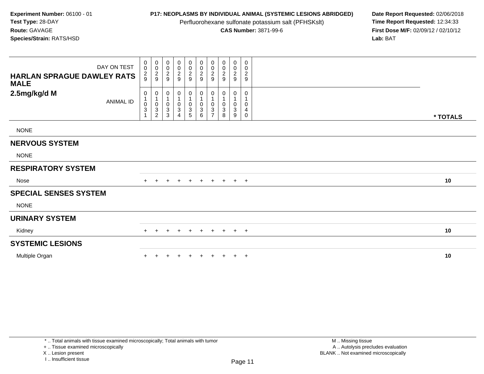Perfluorohexane sulfonate potassium salt (PFHSKslt)<br>**CAS Number:** 3871-99-6

**P17: NEOPLASMS BY INDIVIDUAL ANIMAL (SYSTEMIC LESIONS ABRIDGED)** Date Report Requested: 02/06/2018<br>Perfluorohexane sulfonate potassium salt (PFHSKslt) **Time Report Requested:** 12:34:33 **First Dose M/F:** 02/09/12 / 02/10/12<br>Lab: BAT **Lab:** BAT

| DAY ON TEST                                      | 0<br>$\boldsymbol{0}$                       | $\mathbf 0$<br>$\,0\,$                                                                    | $\pmb{0}$<br>$\mathbf 0$                                           | $\begin{smallmatrix}0\0\0\end{smallmatrix}$             | $_0^0$                      | $\begin{array}{c} 0 \\ 0 \\ 2 \\ 9 \end{array}$                 | 0<br>$\pmb{0}$<br>$\sqrt{2}$                               | $\pmb{0}$<br>$\pmb{0}$<br>$\boldsymbol{2}$ | $\mathbf 0$<br>$\pmb{0}$<br>$\overline{c}$ | 0<br>$\pmb{0}$<br>$\overline{c}$                |          |
|--------------------------------------------------|---------------------------------------------|-------------------------------------------------------------------------------------------|--------------------------------------------------------------------|---------------------------------------------------------|-----------------------------|-----------------------------------------------------------------|------------------------------------------------------------|--------------------------------------------|--------------------------------------------|-------------------------------------------------|----------|
| <b>HARLAN SPRAGUE DAWLEY RATS</b><br><b>MALE</b> | $\frac{2}{9}$                               | $\frac{2}{9}$                                                                             | $\frac{2}{9}$                                                      | $\frac{2}{9}$                                           | $\frac{2}{9}$               |                                                                 | 9                                                          | 9                                          | 9                                          | $9\,$                                           |          |
| 2.5mg/kg/d M<br><b>ANIMAL ID</b>                 | 0<br>$\pmb{0}$<br>$\ensuremath{\mathsf{3}}$ | $\mathbf 0$<br>$\mathbf{1}$<br>$\mathbf 0$<br>$\ensuremath{\mathsf{3}}$<br>$\overline{2}$ | 0<br>$\mathbf{1}$<br>$\mathbf 0$<br>$\ensuremath{\mathsf{3}}$<br>3 | 0<br>$\begin{smallmatrix} 0 \ 3 \end{smallmatrix}$<br>4 | 0<br>0<br>$\mathbf{3}$<br>5 | $\boldsymbol{0}$<br>$\overline{1}$<br>$_{3}^{\rm 0}$<br>$\,6\,$ | 0<br>1<br>0<br>$\ensuremath{\mathsf{3}}$<br>$\overline{ }$ | 0<br>$\pmb{0}$<br>3<br>8                   | 0<br>0<br>$\mathbf{3}$<br>9                | 0<br>$\pmb{0}$<br>$\overline{4}$<br>$\mathbf 0$ | * TOTALS |
| <b>NONE</b>                                      |                                             |                                                                                           |                                                                    |                                                         |                             |                                                                 |                                                            |                                            |                                            |                                                 |          |
| <b>NERVOUS SYSTEM</b>                            |                                             |                                                                                           |                                                                    |                                                         |                             |                                                                 |                                                            |                                            |                                            |                                                 |          |
| <b>NONE</b>                                      |                                             |                                                                                           |                                                                    |                                                         |                             |                                                                 |                                                            |                                            |                                            |                                                 |          |
| <b>RESPIRATORY SYSTEM</b>                        |                                             |                                                                                           |                                                                    |                                                         |                             |                                                                 |                                                            |                                            |                                            |                                                 |          |
| Nose                                             | $+$                                         | $\div$                                                                                    | $\div$                                                             | $\ddot{}$                                               | $\ddot{}$                   | $+$                                                             | $+$                                                        | $+$                                        | $+$                                        | $+$                                             | 10       |
| <b>SPECIAL SENSES SYSTEM</b>                     |                                             |                                                                                           |                                                                    |                                                         |                             |                                                                 |                                                            |                                            |                                            |                                                 |          |
| <b>NONE</b>                                      |                                             |                                                                                           |                                                                    |                                                         |                             |                                                                 |                                                            |                                            |                                            |                                                 |          |
| <b>URINARY SYSTEM</b>                            |                                             |                                                                                           |                                                                    |                                                         |                             |                                                                 |                                                            |                                            |                                            |                                                 |          |
| Kidney                                           | $\pm$                                       |                                                                                           |                                                                    | $\pm$                                                   | $\pm$                       | $\pm$                                                           | $\pm$                                                      | $+$                                        | $+$                                        | $+$                                             | 10       |
| <b>SYSTEMIC LESIONS</b>                          |                                             |                                                                                           |                                                                    |                                                         |                             |                                                                 |                                                            |                                            |                                            |                                                 |          |
| Multiple Organ                                   |                                             |                                                                                           |                                                                    | $\div$                                                  |                             |                                                                 |                                                            |                                            | $+$                                        | $+$                                             | 10       |

+ .. Tissue examined microscopically

X .. Lesion present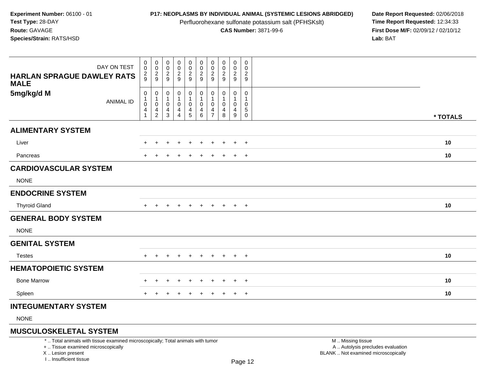Perfluorohexane sulfonate potassium salt (PFHSKslt)<br>**CAS Number:** 3871-99-6

**P17: NEOPLASMS BY INDIVIDUAL ANIMAL (SYSTEMIC LESIONS ABRIDGED)** Date Report Requested: 02/06/2018<br>Perfluorohexane sulfonate potassium salt (PFHSKslt) **Time Report Requested:** 12:34:33 **First Dose M/F:** 02/09/12 / 02/10/12<br>**Lab:** BAT **Lab:** BAT

| DAY ON TEST                                      | 0<br>$\mathbf 0$                                                 | $\begin{smallmatrix} 0\\0 \end{smallmatrix}$ | 0<br>$\pmb{0}$                                                  | $_{\rm 0}^{\rm 0}$                             | $_{\rm 0}^{\rm 0}$                                                              | $\pmb{0}$<br>$\frac{0}{2}$                                                                       | 0<br>0                        | 0<br>$\pmb{0}$      | $\mathbf 0$<br>0                              | 0<br>0                                            |          |
|--------------------------------------------------|------------------------------------------------------------------|----------------------------------------------|-----------------------------------------------------------------|------------------------------------------------|---------------------------------------------------------------------------------|--------------------------------------------------------------------------------------------------|-------------------------------|---------------------|-----------------------------------------------|---------------------------------------------------|----------|
| <b>HARLAN SPRAGUE DAWLEY RATS</b><br><b>MALE</b> | $\frac{2}{9}$                                                    | $\frac{2}{9}$                                | $\frac{2}{9}$                                                   | $\frac{2}{9}$                                  | $\frac{2}{9}$                                                                   | $9\,$                                                                                            | $\overline{c}$<br>9           | $\overline{a}$<br>9 | $\overline{c}$<br>$\boldsymbol{9}$            | $\overline{c}$<br>9                               |          |
| 5mg/kg/d M<br><b>ANIMAL ID</b>                   | 0<br>1<br>$\mathbf 0$<br>$\overline{\mathbf{4}}$<br>$\mathbf{1}$ | 0<br>1<br>$\pmb{0}$<br>$\frac{4}{2}$         | 0<br>$\mathbf 1$<br>0<br>$\overline{\mathbf{r}}$<br>$\mathsf 3$ | $\mathbf 0$<br>1<br>$\pmb{0}$<br>$\frac{4}{4}$ | $\pmb{0}$<br>$\mathbf{1}$<br>$\pmb{0}$<br>$\begin{array}{c} 4 \\ 5 \end{array}$ | $\begin{smallmatrix}0\\1\end{smallmatrix}$<br>$\pmb{0}$<br>$\begin{array}{c} 4 \\ 6 \end{array}$ | 0<br>0<br>4<br>$\overline{7}$ | 0<br>0<br>4<br>8    | 0<br>$\mathbf{1}$<br>0<br>$\overline{4}$<br>9 | 0<br>1<br>0<br>$\,$ 5 $\,$<br>$\mathsf{O}\xspace$ | * TOTALS |
| <b>ALIMENTARY SYSTEM</b>                         |                                                                  |                                              |                                                                 |                                                |                                                                                 |                                                                                                  |                               |                     |                                               |                                                   |          |
| Liver                                            |                                                                  |                                              |                                                                 |                                                |                                                                                 |                                                                                                  |                               |                     | $\ddot{}$                                     | $\ddot{}$                                         | 10       |
| Pancreas                                         |                                                                  |                                              |                                                                 |                                                | +                                                                               |                                                                                                  | ÷                             |                     | $\ddot{}$                                     | $+$                                               | 10       |
| <b>CARDIOVASCULAR SYSTEM</b>                     |                                                                  |                                              |                                                                 |                                                |                                                                                 |                                                                                                  |                               |                     |                                               |                                                   |          |
| <b>NONE</b>                                      |                                                                  |                                              |                                                                 |                                                |                                                                                 |                                                                                                  |                               |                     |                                               |                                                   |          |
| <b>ENDOCRINE SYSTEM</b>                          |                                                                  |                                              |                                                                 |                                                |                                                                                 |                                                                                                  |                               |                     |                                               |                                                   |          |
| <b>Thyroid Gland</b>                             |                                                                  |                                              |                                                                 |                                                | $\pm$                                                                           | $\pm$                                                                                            | $\pm$                         |                     | $+$                                           | $+$                                               | 10       |
| <b>GENERAL BODY SYSTEM</b>                       |                                                                  |                                              |                                                                 |                                                |                                                                                 |                                                                                                  |                               |                     |                                               |                                                   |          |
| <b>NONE</b>                                      |                                                                  |                                              |                                                                 |                                                |                                                                                 |                                                                                                  |                               |                     |                                               |                                                   |          |
| <b>GENITAL SYSTEM</b>                            |                                                                  |                                              |                                                                 |                                                |                                                                                 |                                                                                                  |                               |                     |                                               |                                                   |          |
| <b>Testes</b>                                    |                                                                  | $\ddot{}$                                    | ٠                                                               | $\pm$                                          | $\ddot{}$                                                                       | $\ddot{}$                                                                                        | $\ddot{}$                     | $+$                 | $+$                                           | $+$                                               | 10       |
| <b>HEMATOPOIETIC SYSTEM</b>                      |                                                                  |                                              |                                                                 |                                                |                                                                                 |                                                                                                  |                               |                     |                                               |                                                   |          |
| <b>Bone Marrow</b>                               |                                                                  |                                              |                                                                 |                                                |                                                                                 |                                                                                                  |                               |                     | $\div$                                        | $+$                                               | 10       |
| Spleen                                           |                                                                  |                                              |                                                                 | $\div$                                         | $\ddot{}$                                                                       | $\ddot{}$                                                                                        | $\ddot{}$                     |                     | $\ddot{}$                                     | $+$                                               | 10       |
| <b>INTEGUMENTARY SYSTEM</b>                      |                                                                  |                                              |                                                                 |                                                |                                                                                 |                                                                                                  |                               |                     |                                               |                                                   |          |

NONE

# **MUSCULOSKELETAL SYSTEM**

\* .. Total animals with tissue examined microscopically; Total animals with tumor

+ .. Tissue examined microscopically

X .. Lesion present

I .. Insufficient tissue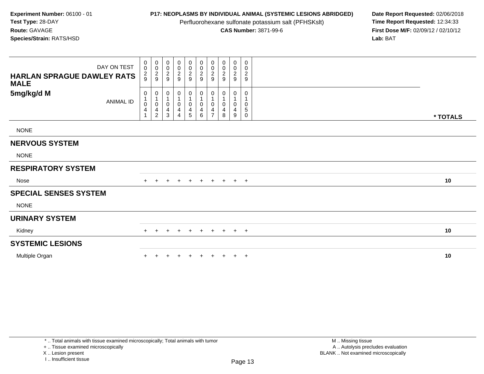Perfluorohexane sulfonate potassium salt (PFHSKslt)<br>**CAS Number:** 3871-99-6

**P17: NEOPLASMS BY INDIVIDUAL ANIMAL (SYSTEMIC LESIONS ABRIDGED)** Date Report Requested: 02/06/2018<br>Perfluorohexane sulfonate potassium salt (PFHSKslt) **Time Report Requested:** 12:34:33 **First Dose M/F:** 02/09/12 / 02/10/12<br>Lab: BAT **Lab:** BAT

| DAY ON TEST<br><b>HARLAN SPRAGUE DAWLEY RATS</b> | 0<br>$\boldsymbol{0}$<br>$\frac{2}{9}$ | $\mathbf 0$<br>$\boldsymbol{0}$<br>$\frac{2}{9}$                             | 0<br>$\mathbf 0$<br>$\frac{2}{9}$            | $\begin{smallmatrix}0\0\0\end{smallmatrix}$<br>$\frac{2}{9}$ | $_0^0$<br>$\frac{2}{9}$       | $\begin{array}{c} 0 \\ 0 \\ 2 \\ 9 \end{array}$                                | 0<br>$\pmb{0}$<br>$\sqrt{2}$<br>9 | $\pmb{0}$<br>$\pmb{0}$<br>$\boldsymbol{2}$<br>9 | $\mathbf 0$<br>$\pmb{0}$<br>$\overline{2}$<br>9  | 0<br>$\pmb{0}$<br>$\overline{c}$<br>9        |          |
|--------------------------------------------------|----------------------------------------|------------------------------------------------------------------------------|----------------------------------------------|--------------------------------------------------------------|-------------------------------|--------------------------------------------------------------------------------|-----------------------------------|-------------------------------------------------|--------------------------------------------------|----------------------------------------------|----------|
| <b>MALE</b><br>5mg/kg/d M<br><b>ANIMAL ID</b>    | 0<br>0<br>4                            | $\mathbf 0$<br>$\mathbf{1}$<br>$\pmb{0}$<br>$\overline{4}$<br>$\overline{c}$ | 0<br>1<br>$\mathbf 0$<br>$\overline{4}$<br>3 | 0<br>$\mathbf 0$<br>$\overline{\mathbf{4}}$<br>4             | 0<br>0<br>$\overline{4}$<br>5 | $\pmb{0}$<br>$\overline{1}$<br>$\pmb{0}$<br>$\overline{\mathbf{4}}$<br>$\,6\,$ | 0<br>0<br>4<br>$\overline{ }$     | 0<br>$\pmb{0}$<br>4<br>8                        | 0<br>$\mathbf 0$<br>$\overline{\mathbf{4}}$<br>9 | 0<br>$\pmb{0}$<br>$\,$ 5 $\,$<br>$\mathbf 0$ | * TOTALS |
| <b>NONE</b>                                      |                                        |                                                                              |                                              |                                                              |                               |                                                                                |                                   |                                                 |                                                  |                                              |          |
| <b>NERVOUS SYSTEM</b>                            |                                        |                                                                              |                                              |                                                              |                               |                                                                                |                                   |                                                 |                                                  |                                              |          |
| <b>NONE</b>                                      |                                        |                                                                              |                                              |                                                              |                               |                                                                                |                                   |                                                 |                                                  |                                              |          |
| <b>RESPIRATORY SYSTEM</b>                        |                                        |                                                                              |                                              |                                                              |                               |                                                                                |                                   |                                                 |                                                  |                                              |          |
| Nose                                             | $+$                                    | $\div$                                                                       | $\div$                                       | $\ddot{}$                                                    | $^{+}$                        | $+$                                                                            | $+$                               | $+$                                             | $+$                                              | $+$                                          | 10       |
| <b>SPECIAL SENSES SYSTEM</b>                     |                                        |                                                                              |                                              |                                                              |                               |                                                                                |                                   |                                                 |                                                  |                                              |          |
| <b>NONE</b>                                      |                                        |                                                                              |                                              |                                                              |                               |                                                                                |                                   |                                                 |                                                  |                                              |          |
| <b>URINARY SYSTEM</b>                            |                                        |                                                                              |                                              |                                                              |                               |                                                                                |                                   |                                                 |                                                  |                                              |          |
| Kidney                                           | $\pm$                                  |                                                                              |                                              | $\pm$                                                        | $+$                           | $\pm$                                                                          | $\pm$                             | $+$                                             | $+$                                              | $+$                                          | 10       |
| <b>SYSTEMIC LESIONS</b>                          |                                        |                                                                              |                                              |                                                              |                               |                                                                                |                                   |                                                 |                                                  |                                              |          |
| Multiple Organ                                   |                                        |                                                                              |                                              | $\div$                                                       | $\pm$                         |                                                                                |                                   |                                                 | $+$                                              | $+$                                          | 10       |

+ .. Tissue examined microscopically

X .. Lesion present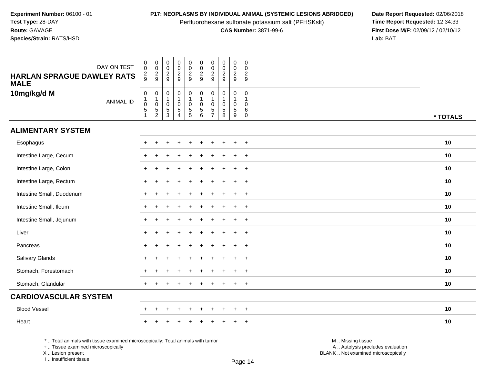Perfluorohexane sulfonate potassium salt (PFHSKslt)<br>**CAS Number:** 3871-99-6

**P17: NEOPLASMS BY INDIVIDUAL ANIMAL (SYSTEMIC LESIONS ABRIDGED)** Date Report Requested: 02/06/2018<br>Perfluorohexane sulfonate potassium salt (PFHSKslt) **Time Report Requested:** 12:34:33 **First Dose M/F:** 02/09/12 / 02/10/12<br>Lab: BAT **Lab:** BAT

| DAY ON TEST<br><b>HARLAN SPRAGUE DAWLEY RATS</b><br><b>MALE</b> | $\mathbf 0$<br>$\mathsf{O}\xspace$<br>$\frac{2}{9}$                                    | $\begin{array}{c}\n0 \\ 0 \\ 2 \\ 9\n\end{array}$ | $\pmb{0}$<br>$\mathbf 0$<br>$\frac{2}{9}$               | $\pmb{0}$<br>$\mathsf{O}\xspace$<br>$\frac{2}{9}$                                     | $\pmb{0}$<br>$\mathsf{O}\xspace$<br>$\overline{a}$<br>9                     | $\pmb{0}$<br>$\pmb{0}$<br>$\overline{c}$<br>9                | $\mathbf 0$<br>$\mathbf 0$<br>$\sqrt{2}$<br>9              | $\pmb{0}$<br>$\pmb{0}$<br>$\sqrt{2}$<br>9                     | $\pmb{0}$<br>$\pmb{0}$<br>$\frac{2}{9}$                 | $\pmb{0}$<br>$\mathbf 0$<br>$\overline{c}$<br>9 |          |
|-----------------------------------------------------------------|----------------------------------------------------------------------------------------|---------------------------------------------------|---------------------------------------------------------|---------------------------------------------------------------------------------------|-----------------------------------------------------------------------------|--------------------------------------------------------------|------------------------------------------------------------|---------------------------------------------------------------|---------------------------------------------------------|-------------------------------------------------|----------|
| 10mg/kg/d M<br><b>ANIMAL ID</b>                                 | $\mathsf{O}\xspace$<br>$\mathbf{1}$<br>$\mathbf 0$<br>$\overline{5}$<br>$\overline{1}$ | $\mathbf 0$<br>$\overline{1}$ 0<br>$\frac{5}{2}$  | $\,0\,$<br>$\mathbf{1}$<br>$\mathbf 0$<br>$\frac{5}{3}$ | $\mathbf 0$<br>$\mathbf 1$<br>$\mathsf{O}\xspace$<br>$\overline{5}$<br>$\overline{4}$ | $\boldsymbol{0}$<br>$\overline{1}$<br>$\mathsf{O}\xspace$<br>$\overline{5}$ | $\pmb{0}$<br>$\mathbf 1$<br>$\pmb{0}$<br>$\overline{5}$<br>6 | $\mathbf 0$<br>$\mathbf 0$<br>$\sqrt{5}$<br>$\overline{7}$ | $\mathsf 0$<br>$\mathbf{1}$<br>$\mathbf 0$<br>$\sqrt{5}$<br>8 | $\pmb{0}$<br>$\mathbf{1}$<br>$\pmb{0}$<br>$\frac{5}{9}$ | $\mathbf 0$<br>1<br>0<br>6<br>$\mathbf 0$       | * TOTALS |
| <b>ALIMENTARY SYSTEM</b>                                        |                                                                                        |                                                   |                                                         |                                                                                       |                                                                             |                                                              |                                                            |                                                               |                                                         |                                                 |          |
| Esophagus                                                       |                                                                                        |                                                   |                                                         |                                                                                       |                                                                             |                                                              |                                                            |                                                               | +                                                       | $\div$                                          | 10       |
| Intestine Large, Cecum                                          |                                                                                        |                                                   |                                                         |                                                                                       |                                                                             |                                                              |                                                            |                                                               | $\ddot{}$                                               | $\overline{+}$                                  | 10       |
| Intestine Large, Colon                                          | $\pm$                                                                                  |                                                   |                                                         |                                                                                       |                                                                             |                                                              |                                                            |                                                               | $\ddot{}$                                               | $\overline{+}$                                  | 10       |
| Intestine Large, Rectum                                         | $+$                                                                                    | $\div$                                            |                                                         |                                                                                       |                                                                             |                                                              |                                                            |                                                               | $\ddot{}$                                               | $+$                                             | 10       |
| Intestine Small, Duodenum                                       | $\ddot{}$                                                                              |                                                   |                                                         |                                                                                       |                                                                             |                                                              |                                                            |                                                               | $\ddot{}$                                               | $\overline{ }$                                  | 10       |
| Intestine Small, Ileum                                          |                                                                                        |                                                   |                                                         |                                                                                       |                                                                             |                                                              |                                                            |                                                               | $\div$                                                  | $+$                                             | 10       |
| Intestine Small, Jejunum                                        |                                                                                        |                                                   |                                                         |                                                                                       |                                                                             |                                                              |                                                            |                                                               | $\ddot{}$                                               | $\overline{+}$                                  | 10       |
| Liver                                                           |                                                                                        |                                                   |                                                         |                                                                                       |                                                                             |                                                              |                                                            |                                                               | $\ddot{}$                                               | $+$                                             | 10       |
| Pancreas                                                        |                                                                                        |                                                   |                                                         |                                                                                       |                                                                             |                                                              |                                                            |                                                               | $\ddot{}$                                               | $+$                                             | 10       |
| Salivary Glands                                                 |                                                                                        |                                                   |                                                         |                                                                                       |                                                                             |                                                              |                                                            |                                                               | ÷                                                       | $\ddot{}$                                       | 10       |
| Stomach, Forestomach                                            |                                                                                        |                                                   |                                                         |                                                                                       |                                                                             |                                                              |                                                            |                                                               | $\ddot{+}$                                              | $+$                                             | 10       |
| Stomach, Glandular                                              | $\ddot{}$                                                                              |                                                   |                                                         |                                                                                       |                                                                             |                                                              |                                                            |                                                               | $\ddot{}$                                               | $\overline{+}$                                  | 10       |
| <b>CARDIOVASCULAR SYSTEM</b>                                    |                                                                                        |                                                   |                                                         |                                                                                       |                                                                             |                                                              |                                                            |                                                               |                                                         |                                                 |          |
| <b>Blood Vessel</b>                                             | $\ddot{}$                                                                              | ÷                                                 |                                                         | $\ddot{}$                                                                             | $\ddot{}$                                                                   | $\ddot{}$                                                    |                                                            |                                                               | $\ddot{}$                                               | $\overline{+}$                                  | 10       |
| Heart                                                           |                                                                                        |                                                   |                                                         |                                                                                       |                                                                             |                                                              |                                                            |                                                               |                                                         | $\overline{ }$                                  | 10       |

\* .. Total animals with tissue examined microscopically; Total animals with tumor

+ .. Tissue examined microscopically

X .. Lesion present

I .. Insufficient tissue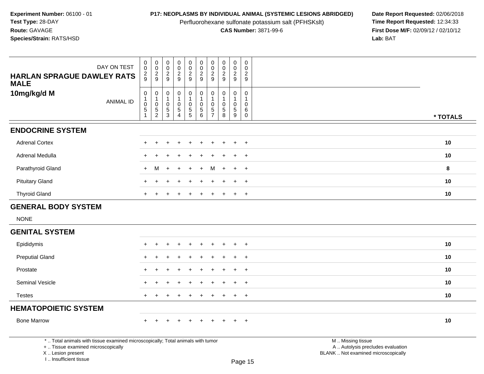Perfluorohexane sulfonate potassium salt (PFHSKslt)<br>**CAS Number:** 3871-99-6

**P17: NEOPLASMS BY INDIVIDUAL ANIMAL (SYSTEMIC LESIONS ABRIDGED)** Date Report Requested: 02/06/2018<br>Perfluorohexane sulfonate potassium salt (PFHSKslt) **Time Report Requested:** 12:34:33 **First Dose M/F:** 02/09/12 / 02/10/12<br>Lab: BAT **Lab:** BAT

| DAY ON TEST                                                                                                                                                         | $\pmb{0}$<br>$\mathbf 0$                                                | $\begin{array}{c} 0 \\ 0 \\ 2 \\ 9 \end{array}$              | $\pmb{0}$<br>$\mathbf 0$                                          | $\pmb{0}$<br>$\mathsf{O}\xspace$<br>$\overline{c}$                         | $\pmb{0}$<br>$\ddot{\mathbf{0}}$       | $\pmb{0}$<br>$\overline{0}$                                                     | $\pmb{0}$<br>$\ddot{\mathbf{0}}$<br>$\overline{c}$          | $\pmb{0}$<br>0                                              | $_{\rm 0}^{\rm 0}$                                      | $\pmb{0}$<br>$\mathbf 0$<br>$\boldsymbol{2}$          |                                                                                               |          |
|---------------------------------------------------------------------------------------------------------------------------------------------------------------------|-------------------------------------------------------------------------|--------------------------------------------------------------|-------------------------------------------------------------------|----------------------------------------------------------------------------|----------------------------------------|---------------------------------------------------------------------------------|-------------------------------------------------------------|-------------------------------------------------------------|---------------------------------------------------------|-------------------------------------------------------|-----------------------------------------------------------------------------------------------|----------|
| <b>HARLAN SPRAGUE DAWLEY RATS</b><br><b>MALE</b>                                                                                                                    | $\frac{2}{9}$                                                           |                                                              | $\frac{2}{9}$                                                     | 9                                                                          | $\frac{2}{9}$                          | $\frac{2}{9}$                                                                   | 9                                                           | $\overline{c}$<br>9                                         | $\frac{2}{9}$                                           | $\boldsymbol{9}$                                      |                                                                                               |          |
| 10mg/kg/d M<br><b>ANIMAL ID</b>                                                                                                                                     | $\mathsf 0$<br>$\begin{smallmatrix}1\\0\end{smallmatrix}$<br>$\sqrt{5}$ | $\pmb{0}$<br>$\mathbf{1}$<br>$\overline{0}$<br>$\frac{5}{2}$ | 0<br>$\mathbf{1}$<br>$\mathbf 0$<br>$\,$ 5 $\,$<br>$\overline{3}$ | $\pmb{0}$<br>$\overline{1}$<br>$\mathbf 0$<br>$\sqrt{5}$<br>$\overline{4}$ | 0<br>1<br>$\mathbf 0$<br>$\frac{5}{5}$ | $\pmb{0}$<br>$\mathbf{1}$<br>$\pmb{0}$<br>$\begin{array}{c} 5 \\ 6 \end{array}$ | $\mathbf 0$<br>$\mathbf{1}$<br>$\mathbf 0$<br>$\frac{5}{7}$ | $\mathbf 0$<br>$\mathbf 0$<br>$\,$ 5 $\,$<br>$\overline{8}$ | $\pmb{0}$<br>$\mathbf{1}$<br>$\pmb{0}$<br>$\frac{5}{9}$ | 0<br>$\mathbf{1}$<br>$\mathbf 0$<br>6<br>$\mathsf{O}$ |                                                                                               | * TOTALS |
| <b>ENDOCRINE SYSTEM</b>                                                                                                                                             |                                                                         |                                                              |                                                                   |                                                                            |                                        |                                                                                 |                                                             |                                                             |                                                         |                                                       |                                                                                               |          |
| <b>Adrenal Cortex</b>                                                                                                                                               | +                                                                       |                                                              |                                                                   |                                                                            |                                        |                                                                                 |                                                             | +                                                           | $\pm$                                                   | $+$                                                   |                                                                                               | 10       |
| Adrenal Medulla                                                                                                                                                     | $\pm$                                                                   |                                                              |                                                                   |                                                                            |                                        |                                                                                 |                                                             |                                                             |                                                         | $+$                                                   |                                                                                               | 10       |
| Parathyroid Gland                                                                                                                                                   | $+$                                                                     | м                                                            | $\div$                                                            |                                                                            | $\div$                                 | $\ddot{}$                                                                       | M                                                           | $\pm$                                                       | $\div$                                                  | $+$                                                   |                                                                                               | 8        |
| <b>Pituitary Gland</b>                                                                                                                                              |                                                                         |                                                              |                                                                   |                                                                            |                                        |                                                                                 |                                                             |                                                             |                                                         | $\ddot{}$                                             |                                                                                               | 10       |
| <b>Thyroid Gland</b>                                                                                                                                                |                                                                         |                                                              |                                                                   |                                                                            |                                        |                                                                                 |                                                             |                                                             |                                                         | $+$                                                   |                                                                                               | 10       |
| <b>GENERAL BODY SYSTEM</b>                                                                                                                                          |                                                                         |                                                              |                                                                   |                                                                            |                                        |                                                                                 |                                                             |                                                             |                                                         |                                                       |                                                                                               |          |
| <b>NONE</b>                                                                                                                                                         |                                                                         |                                                              |                                                                   |                                                                            |                                        |                                                                                 |                                                             |                                                             |                                                         |                                                       |                                                                                               |          |
| <b>GENITAL SYSTEM</b>                                                                                                                                               |                                                                         |                                                              |                                                                   |                                                                            |                                        |                                                                                 |                                                             |                                                             |                                                         |                                                       |                                                                                               |          |
| Epididymis                                                                                                                                                          |                                                                         |                                                              |                                                                   |                                                                            |                                        |                                                                                 |                                                             |                                                             |                                                         | $\overline{+}$                                        |                                                                                               | 10       |
| <b>Preputial Gland</b>                                                                                                                                              |                                                                         |                                                              |                                                                   |                                                                            |                                        |                                                                                 |                                                             |                                                             |                                                         | $+$                                                   |                                                                                               | 10       |
| Prostate                                                                                                                                                            |                                                                         |                                                              |                                                                   |                                                                            |                                        |                                                                                 |                                                             |                                                             |                                                         | $\overline{+}$                                        |                                                                                               | 10       |
| Seminal Vesicle                                                                                                                                                     |                                                                         |                                                              |                                                                   |                                                                            |                                        |                                                                                 |                                                             |                                                             |                                                         | $+$                                                   |                                                                                               | 10       |
| <b>Testes</b>                                                                                                                                                       | +                                                                       |                                                              |                                                                   |                                                                            |                                        |                                                                                 |                                                             |                                                             | ÷                                                       | $+$                                                   |                                                                                               | 10       |
| <b>HEMATOPOIETIC SYSTEM</b>                                                                                                                                         |                                                                         |                                                              |                                                                   |                                                                            |                                        |                                                                                 |                                                             |                                                             |                                                         |                                                       |                                                                                               |          |
| <b>Bone Marrow</b>                                                                                                                                                  |                                                                         |                                                              |                                                                   |                                                                            |                                        |                                                                                 |                                                             |                                                             |                                                         |                                                       |                                                                                               | 10       |
| *  Total animals with tissue examined microscopically; Total animals with tumor<br>+  Tissue examined microscopically<br>X  Lesion present<br>I Insufficient tissue |                                                                         |                                                              |                                                                   |                                                                            |                                        |                                                                                 |                                                             |                                                             |                                                         | Page 15                                               | M  Missing tissue<br>A  Autolysis precludes evaluation<br>BLANK  Not examined microscopically |          |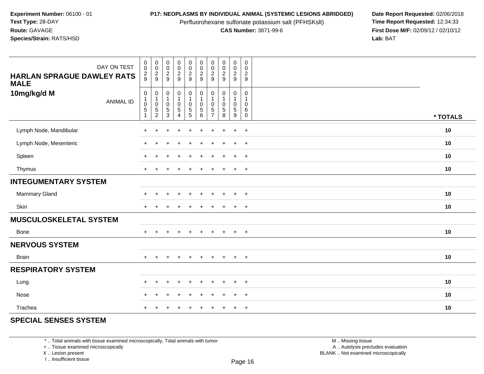Perfluorohexane sulfonate potassium salt (PFHSKslt)<br>**CAS Number:** 3871-99-6

**P17: NEOPLASMS BY INDIVIDUAL ANIMAL (SYSTEMIC LESIONS ABRIDGED)** Date Report Requested: 02/06/2018<br>Perfluorohexane sulfonate potassium salt (PFHSKslt) **Time Report Requested:** 12:34:33 **First Dose M/F:** 02/09/12 / 02/10/12<br>Lab: BAT **Lab:** BAT

| DAY ON TEST<br><b>HARLAN SPRAGUE DAWLEY RATS</b><br><b>MALE</b> | $\pmb{0}$<br>$\pmb{0}$<br>$\frac{2}{9}$                                 | $\pmb{0}$<br>$\frac{0}{2}$                        | $_{\rm 0}^{\rm 0}$<br>$\frac{2}{9}$                               | $\pmb{0}$<br>$\mathsf 0$<br>$\frac{2}{9}$                            | $\pmb{0}$<br>$\pmb{0}$<br>$\frac{2}{9}$              | $\pmb{0}$<br>$\pmb{0}$<br>$\overline{\mathbf{c}}$<br>9                      | $\pmb{0}$<br>$\pmb{0}$<br>$\overline{c}$<br>9 | $\pmb{0}$<br>$\frac{0}{2}$                     | $\pmb{0}$<br>$\mathbf 0$<br>$\frac{2}{9}$                | $\mathbf 0$<br>$\mathbf 0$<br>$\sqrt{2}$<br>9        |          |
|-----------------------------------------------------------------|-------------------------------------------------------------------------|---------------------------------------------------|-------------------------------------------------------------------|----------------------------------------------------------------------|------------------------------------------------------|-----------------------------------------------------------------------------|-----------------------------------------------|------------------------------------------------|----------------------------------------------------------|------------------------------------------------------|----------|
| 10mg/kg/d M<br><b>ANIMAL ID</b>                                 | $\pmb{0}$<br>$\mathbf{1}$<br>$\mathbf 0$<br>$\mathbf 5$<br>$\mathbf{1}$ | 0<br>$\mathbf{1}$<br>$\mathbf 0$<br>$\frac{5}{2}$ | $\mathbf 0$<br>$\overline{1}$<br>$\mathsf{O}$<br>$\,$ 5 $\,$<br>3 | 0<br>$\mathbf{1}$<br>$\mathbf 0$<br>$\overline{5}$<br>$\overline{4}$ | $\mathbf 0$<br>$\mathbf{1}$<br>0<br>$\,$ 5 $\,$<br>5 | $\mathbf 0$<br>$\mathbf{1}$<br>$\mathbf 0$<br>$\,$ 5 $\,$<br>$6\phantom{a}$ | 0<br>0<br>$\frac{5}{7}$                       | $\mathbf 0$<br>$\mathbf 0$<br>$\,$ 5 $\,$<br>8 | 0<br>$\mathbf{1}$<br>0<br>$\sqrt{5}$<br>$\boldsymbol{9}$ | $\mathbf 0$<br>$\mathbf{1}$<br>$\mathbf 0$<br>6<br>0 | * TOTALS |
| Lymph Node, Mandibular                                          | $\ddot{}$                                                               |                                                   |                                                                   |                                                                      |                                                      |                                                                             |                                               |                                                | $\ddot{}$                                                | $\ddot{}$                                            | 10       |
| Lymph Node, Mesenteric                                          | ÷                                                                       |                                                   |                                                                   |                                                                      |                                                      |                                                                             |                                               |                                                | $\pm$                                                    | $+$                                                  | 10       |
| Spleen                                                          | $\pm$                                                                   |                                                   |                                                                   | $\ddot{}$                                                            | ÷                                                    | $\ddot{}$                                                                   | $\div$                                        |                                                | $+$                                                      | $+$                                                  | 10       |
| Thymus                                                          | $\ddot{}$                                                               |                                                   |                                                                   |                                                                      |                                                      |                                                                             |                                               |                                                | $+$                                                      | $+$                                                  | 10       |
| <b>INTEGUMENTARY SYSTEM</b>                                     |                                                                         |                                                   |                                                                   |                                                                      |                                                      |                                                                             |                                               |                                                |                                                          |                                                      |          |
| Mammary Gland                                                   | $\pm$                                                                   | $\div$                                            |                                                                   |                                                                      |                                                      |                                                                             |                                               |                                                | $\pm$                                                    | $^{+}$                                               | 10       |
| Skin                                                            | $+$                                                                     | ÷                                                 |                                                                   |                                                                      |                                                      |                                                                             |                                               | $\overline{ }$                                 | $\ddot{}$                                                | $+$                                                  | 10       |
| <b>MUSCULOSKELETAL SYSTEM</b>                                   |                                                                         |                                                   |                                                                   |                                                                      |                                                      |                                                                             |                                               |                                                |                                                          |                                                      |          |
| <b>Bone</b>                                                     | $+$                                                                     | $+$                                               | $\div$                                                            | $+$                                                                  | $\ddot{}$                                            | $+$                                                                         | $+$                                           | $\overline{+}$                                 | $+$                                                      | $+$                                                  | 10       |
| <b>NERVOUS SYSTEM</b>                                           |                                                                         |                                                   |                                                                   |                                                                      |                                                      |                                                                             |                                               |                                                |                                                          |                                                      |          |
| <b>Brain</b>                                                    | $+$                                                                     |                                                   |                                                                   | $\ddot{}$                                                            |                                                      | $\pm$                                                                       |                                               | $\overline{+}$                                 | $+$                                                      | $+$                                                  | 10       |
| <b>RESPIRATORY SYSTEM</b>                                       |                                                                         |                                                   |                                                                   |                                                                      |                                                      |                                                                             |                                               |                                                |                                                          |                                                      |          |
| Lung                                                            | $\pm$                                                                   | $\div$                                            |                                                                   | ÷.                                                                   |                                                      |                                                                             |                                               | ÷.                                             | $\ddot{}$                                                | $+$                                                  | 10       |
| Nose                                                            | $\div$                                                                  |                                                   |                                                                   |                                                                      |                                                      |                                                                             |                                               |                                                | $\pm$                                                    | $+$                                                  | 10       |
| Trachea                                                         | $\pm$                                                                   |                                                   |                                                                   |                                                                      |                                                      |                                                                             |                                               |                                                | $\pm$                                                    | $+$                                                  | 10       |

## **SPECIAL SENSES SYSTEM**

\* .. Total animals with tissue examined microscopically; Total animals with tumor

+ .. Tissue examined microscopically

X .. Lesion present

I .. Insufficient tissue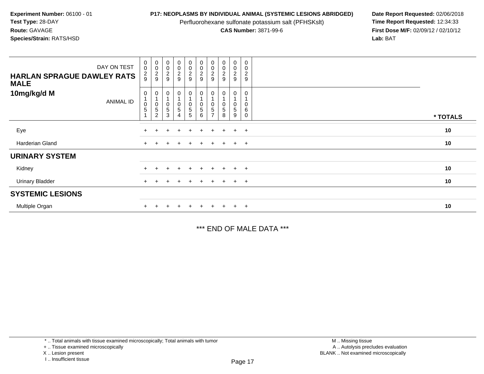Perfluorohexane sulfonate potassium salt (PFHSKslt)<br>**CAS Number:** 3871-99-6

**P17: NEOPLASMS BY INDIVIDUAL ANIMAL (SYSTEMIC LESIONS ABRIDGED)** Date Report Requested: 02/06/2018<br>Perfluorohexane sulfonate potassium salt (PFHSKslt) **Time Report Requested:** 12:34:33 **First Dose M/F:** 02/09/12 / 02/10/12<br>Lab: BAT **Lab:** BAT

| DAY ON TEST<br><b>HARLAN SPRAGUE DAWLEY RATS</b><br><b>MALE</b> | $_{\rm 0}^{\rm 0}$<br>$\frac{2}{9}$ | 00029                                                     | 00029                                                            | $\begin{array}{c} 0 \\ 0 \\ 2 \\ 9 \end{array}$ | $\pmb{0}$<br>$\frac{0}{2}$                           | $\begin{array}{c} 0 \\ 0 \\ 2 \\ 9 \end{array}$                                 | 0<br>$\pmb{0}$<br>$\frac{2}{9}$ | $\begin{array}{c} 0 \\ 0 \\ 2 \\ 9 \end{array}$ | 0<br>$\frac{0}{2}$                 | 0<br>0<br>$\boldsymbol{2}$<br>$\boldsymbol{9}$ |          |
|-----------------------------------------------------------------|-------------------------------------|-----------------------------------------------------------|------------------------------------------------------------------|-------------------------------------------------|------------------------------------------------------|---------------------------------------------------------------------------------|---------------------------------|-------------------------------------------------|------------------------------------|------------------------------------------------|----------|
| 10mg/kg/d M<br>ANIMAL ID                                        | 0<br>$\mathbf 0$<br>$\sqrt{5}$      | $\mathbf 0$<br>$\begin{array}{c} 0 \\ 5 \\ 2 \end{array}$ | $\boldsymbol{0}$<br>$\overline{1}$<br>$\pmb{0}$<br>$\frac{5}{3}$ | 0<br>0<br>5<br>4                                | $\frac{0}{1}$<br>$\mathbf 0$<br>$5\phantom{.0}$<br>5 | $\pmb{0}$<br>$\overline{A}$<br>$\begin{smallmatrix}0\0\0\end{smallmatrix}$<br>6 | $\sqrt{5}$                      | 0<br>$\pmb{0}$<br>$\sqrt{5}$<br>8               | 0<br>$\overline{1}$<br>0<br>5<br>9 | 0<br>0<br>6<br>0                               | * TOTALS |
| Eye                                                             | $+$                                 |                                                           | ÷                                                                | $\div$                                          | $\pm$                                                | $\pm$                                                                           | $+$                             |                                                 | $+$                                | $+$                                            | 10       |
| Harderian Gland                                                 | $+$                                 |                                                           |                                                                  | $\ddot{}$                                       |                                                      | $+$                                                                             | $+$                             |                                                 | $+$                                | $+$                                            | 10       |
| <b>URINARY SYSTEM</b>                                           |                                     |                                                           |                                                                  |                                                 |                                                      |                                                                                 |                                 |                                                 |                                    |                                                |          |
| Kidney                                                          | $+$                                 |                                                           |                                                                  | $\ddot{}$                                       | $+$                                                  | $\ddot{}$                                                                       | $+$                             |                                                 | $+$                                | $+$                                            | 10       |
| <b>Urinary Bladder</b>                                          | $\ddot{}$                           |                                                           |                                                                  | $\div$                                          |                                                      | $+$                                                                             | $+$                             |                                                 | $+$                                | $+$                                            | 10       |
| <b>SYSTEMIC LESIONS</b>                                         |                                     |                                                           |                                                                  |                                                 |                                                      |                                                                                 |                                 |                                                 |                                    |                                                |          |
| Multiple Organ                                                  |                                     |                                                           |                                                                  |                                                 |                                                      |                                                                                 | ÷.                              |                                                 | $\pm$                              | $+$                                            | 10       |

\*\*\* END OF MALE DATA \*\*\*

<sup>\* ..</sup> Total animals with tissue examined microscopically; Total animals with tumor

<sup>+ ..</sup> Tissue examined microscopically

X .. Lesion present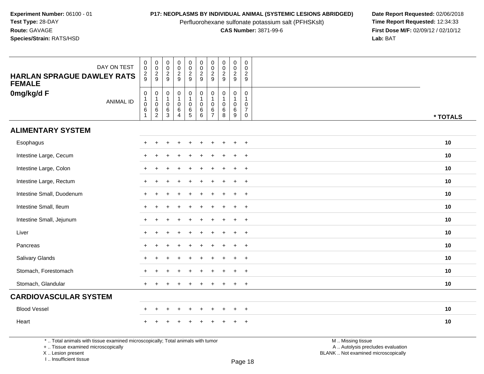Perfluorohexane sulfonate potassium salt (PFHSKslt)<br>**CAS Number:** 3871-99-6

**P17: NEOPLASMS BY INDIVIDUAL ANIMAL (SYSTEMIC LESIONS ABRIDGED)** Date Report Requested: 02/06/2018<br>Perfluorohexane sulfonate potassium salt (PFHSKslt) **Time Report Requested:** 12:34:33 **First Dose M/F:** 02/09/12 / 02/10/12<br>Lab: BAT **Lab:** BAT

| DAY ON TEST<br><b>HARLAN SPRAGUE DAWLEY RATS</b><br><b>FEMALE</b> | $\pmb{0}$<br>$\mathbf 0$<br>$\frac{2}{9}$ | $\begin{array}{c} 0 \\ 0 \\ 2 \\ 9 \end{array}$                | $\mathbf 0$<br>$\mathbf 0$<br>$\sqrt{2}$<br>9                         | $\pmb{0}$<br>$\pmb{0}$<br>$\frac{2}{9}$                                                 | $\pmb{0}$<br>$\pmb{0}$<br>$\frac{2}{9}$                                       | $\mathsf{O}\xspace$<br>$\pmb{0}$<br>$\overline{c}$<br>9                            | $\pmb{0}$<br>$\mathbf 0$<br>$\overline{2}$<br>9           | $\pmb{0}$<br>$\frac{0}{2}$<br>9                                     | $\pmb{0}$<br>$\mathsf{O}\xspace$<br>$\overline{c}$<br>9 | $\pmb{0}$<br>$\Omega$<br>$\sqrt{2}$<br>9                                  |          |
|-------------------------------------------------------------------|-------------------------------------------|----------------------------------------------------------------|-----------------------------------------------------------------------|-----------------------------------------------------------------------------------------|-------------------------------------------------------------------------------|------------------------------------------------------------------------------------|-----------------------------------------------------------|---------------------------------------------------------------------|---------------------------------------------------------|---------------------------------------------------------------------------|----------|
| 0mg/kg/d F<br><b>ANIMAL ID</b>                                    | $\pmb{0}$<br>1<br>$\mathbf 0$<br>$\,6\,$  | $\mathbf 0$<br>$\begin{array}{c} 1 \\ 0 \\ 6 \\ 2 \end{array}$ | $\pmb{0}$<br>$\overline{1}$<br>$\mathbf 0$<br>$\,6\,$<br>$\mathbf{3}$ | $\mathsf{O}\xspace$<br>$\mathbf{1}$<br>$\mathsf{O}\xspace$<br>$\,6\,$<br>$\overline{4}$ | $\begin{smallmatrix}0\1\end{smallmatrix}$<br>$\pmb{0}$<br>$\overline{6}$<br>5 | $\mathsf{O}\xspace$<br>$\mathbf{1}$<br>$\mathsf{O}\xspace$<br>6<br>$6\overline{6}$ | $\mathsf{O}\xspace$<br>$\mathbf 0$<br>6<br>$\overline{7}$ | $\pmb{0}$<br>$\mathbf{1}$<br>$\pmb{0}$<br>$\,6\,$<br>$\overline{8}$ | 0<br>$\mathbf{1}$<br>$\mathbf 0$<br>$\,6\,$<br>9        | $\pmb{0}$<br>$\mathbf{1}$<br>$\mathbf 0$<br>$\overline{7}$<br>$\mathbf 0$ | * TOTALS |
| <b>ALIMENTARY SYSTEM</b>                                          |                                           |                                                                |                                                                       |                                                                                         |                                                                               |                                                                                    |                                                           |                                                                     |                                                         |                                                                           |          |
| Esophagus                                                         | $\div$                                    |                                                                |                                                                       |                                                                                         |                                                                               |                                                                                    |                                                           |                                                                     | $\ddot{}$                                               | $\overline{+}$                                                            | 10       |
| Intestine Large, Cecum                                            | $\div$                                    |                                                                |                                                                       |                                                                                         |                                                                               |                                                                                    |                                                           |                                                                     | $\ddot{}$                                               | $\overline{+}$                                                            | 10       |
| Intestine Large, Colon                                            | $\ddot{}$                                 |                                                                |                                                                       |                                                                                         |                                                                               |                                                                                    |                                                           |                                                                     | $\ddot{}$                                               | $\overline{+}$                                                            | 10       |
| Intestine Large, Rectum                                           | $\ddot{}$                                 |                                                                |                                                                       |                                                                                         |                                                                               |                                                                                    |                                                           |                                                                     | +                                                       | $+$                                                                       | 10       |
| Intestine Small, Duodenum                                         | $\pm$                                     |                                                                |                                                                       |                                                                                         |                                                                               |                                                                                    |                                                           |                                                                     | $\ddot{}$                                               | $\overline{+}$                                                            | 10       |
| Intestine Small, Ileum                                            | $\ddot{}$                                 |                                                                |                                                                       |                                                                                         |                                                                               |                                                                                    |                                                           |                                                                     | $\ddot{}$                                               | $+$                                                                       | 10       |
| Intestine Small, Jejunum                                          | $\div$                                    |                                                                |                                                                       |                                                                                         |                                                                               |                                                                                    |                                                           |                                                                     | $\ddot{}$                                               | $+$                                                                       | 10       |
| Liver                                                             | $+$                                       |                                                                |                                                                       |                                                                                         |                                                                               | ÷.                                                                                 |                                                           |                                                                     | $\ddot{}$                                               | $+$                                                                       | 10       |
| Pancreas                                                          | $\pm$                                     |                                                                |                                                                       |                                                                                         |                                                                               |                                                                                    |                                                           |                                                                     | $\ddot{}$                                               | $\overline{+}$                                                            | 10       |
| Salivary Glands                                                   | $\div$                                    |                                                                |                                                                       |                                                                                         |                                                                               |                                                                                    |                                                           |                                                                     | ÷                                                       | $+$                                                                       | 10       |
| Stomach, Forestomach                                              | $\div$                                    |                                                                |                                                                       |                                                                                         |                                                                               | ÷.                                                                                 |                                                           |                                                                     | $\ddot{}$                                               | $+$                                                                       | 10       |
| Stomach, Glandular                                                | $+$                                       |                                                                |                                                                       |                                                                                         |                                                                               |                                                                                    |                                                           |                                                                     | $\ddot{}$                                               | $+$                                                                       | 10       |
| <b>CARDIOVASCULAR SYSTEM</b>                                      |                                           |                                                                |                                                                       |                                                                                         |                                                                               |                                                                                    |                                                           |                                                                     |                                                         |                                                                           |          |
| <b>Blood Vessel</b>                                               | $\ddot{}$                                 | $\div$                                                         | ÷                                                                     | $\ddot{}$                                                                               | $\div$                                                                        | $\ddot{}$                                                                          | ÷                                                         | $\div$                                                              | $\ddot{}$                                               | $+$                                                                       | 10       |
| Heart                                                             |                                           |                                                                |                                                                       |                                                                                         |                                                                               |                                                                                    |                                                           |                                                                     |                                                         | $\ddot{}$                                                                 | 10       |

\* .. Total animals with tissue examined microscopically; Total animals with tumor

+ .. Tissue examined microscopically

 Lesion present BLANK .. Not examined microscopicallyX .. Lesion present

I .. Insufficient tissue

 M .. Missing tissuey the contract of the contract of the contract of the contract of the contract of  $\mathsf A$  . Autolysis precludes evaluation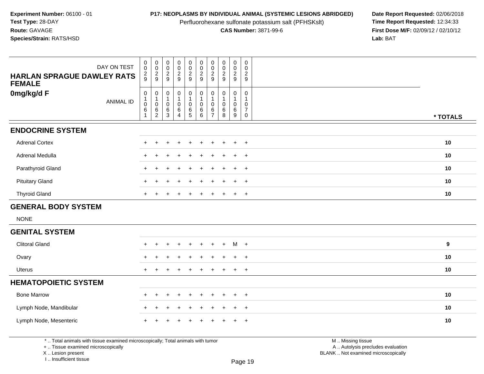Perfluorohexane sulfonate potassium salt (PFHSKslt)<br>**CAS Number:** 3871-99-6

**P17: NEOPLASMS BY INDIVIDUAL ANIMAL (SYSTEMIC LESIONS ABRIDGED)** Date Report Requested: 02/06/2018<br>Perfluorohexane sulfonate potassium salt (PFHSKslt) **Time Report Requested:** 12:34:33 **First Dose M/F:** 02/09/12 / 02/10/12<br>Lab: BAT **Lab:** BAT

| DAY ON TEST<br><b>HARLAN SPRAGUE DAWLEY RATS</b><br><b>FEMALE</b> | $\,0\,$<br>$\ddot{\mathbf{0}}$<br>$\frac{2}{9}$ | $\begin{smallmatrix} 0\\0 \end{smallmatrix}$<br>$\frac{2}{9}$  | $\begin{smallmatrix} 0\\0 \end{smallmatrix}$<br>$\frac{2}{9}$ | $\pmb{0}$<br>$\mathbf 0$<br>$\frac{2}{9}$                                 | $_{\rm 0}^{\rm 0}$<br>$\frac{2}{9}$        | $\pmb{0}$<br>$\ddot{\mathbf{0}}$<br>$\overline{c}$<br>9                                  | $\pmb{0}$<br>$\pmb{0}$<br>$\overline{2}$<br>9 | $\pmb{0}$<br>$\ddot{\mathbf{0}}$<br>$\frac{2}{9}$         | $\pmb{0}$<br>$\pmb{0}$<br>$\overline{c}$<br>9 | $\pmb{0}$<br>$\mathbf 0$<br>$\sqrt{2}$<br>9                                 |          |
|-------------------------------------------------------------------|-------------------------------------------------|----------------------------------------------------------------|---------------------------------------------------------------|---------------------------------------------------------------------------|--------------------------------------------|------------------------------------------------------------------------------------------|-----------------------------------------------|-----------------------------------------------------------|-----------------------------------------------|-----------------------------------------------------------------------------|----------|
| 0mg/kg/d F<br><b>ANIMAL ID</b>                                    | $\pmb{0}$<br>$\pmb{0}$<br>$\,6\,$               | $\mathbf 0$<br>$\begin{array}{c} 1 \\ 0 \\ 6 \\ 2 \end{array}$ | $\pmb{0}$<br>$\mathbf{1}$<br>$\pmb{0}$<br>$\,6\,$<br>3        | $\mathbf 0$<br>$\mathbf{1}$<br>$\mathsf{O}\xspace$<br>$\overline{6}$<br>4 | $\pmb{0}$<br>$\mathbf{1}$<br>$\frac{0}{6}$ | $\pmb{0}$<br>$\mathbf{1}$<br>$\mathsf{O}\xspace$<br>$\begin{matrix} 6 \\ 6 \end{matrix}$ | 0<br>$\mathbf 0$<br>6<br>$\overline{7}$       | $\mathbf 0$<br>$\mathbf{1}$<br>$\pmb{0}$<br>$\frac{6}{8}$ | 0<br>$\mathbf{1}$<br>$\mathbf 0$<br>6<br>9    | $\mathbf 0$<br>$\mathbf{1}$<br>$\mathbf 0$<br>$\overline{7}$<br>$\mathbf 0$ | * TOTALS |
| <b>ENDOCRINE SYSTEM</b>                                           |                                                 |                                                                |                                                               |                                                                           |                                            |                                                                                          |                                               |                                                           |                                               |                                                                             |          |
| <b>Adrenal Cortex</b>                                             | $+$                                             | $+$                                                            |                                                               | $\ddot{}$                                                                 |                                            | $\ddot{}$                                                                                |                                               |                                                           | $\ddot{}$                                     | $+$                                                                         | 10       |
| Adrenal Medulla                                                   | $\ddot{}$                                       |                                                                |                                                               |                                                                           |                                            |                                                                                          |                                               |                                                           | $\ddot{}$                                     | $+$                                                                         | 10       |
| Parathyroid Gland                                                 | $\pm$                                           |                                                                |                                                               |                                                                           |                                            |                                                                                          |                                               |                                                           | ÷                                             | $+$                                                                         | 10       |
| <b>Pituitary Gland</b>                                            | $\div$                                          |                                                                |                                                               |                                                                           |                                            |                                                                                          |                                               |                                                           | $\ddot{}$                                     | $+$                                                                         | 10       |
| <b>Thyroid Gland</b>                                              | $\div$                                          |                                                                |                                                               |                                                                           |                                            |                                                                                          |                                               |                                                           | $\ddot{}$                                     | $+$                                                                         | 10       |
| <b>GENERAL BODY SYSTEM</b>                                        |                                                 |                                                                |                                                               |                                                                           |                                            |                                                                                          |                                               |                                                           |                                               |                                                                             |          |
| <b>NONE</b>                                                       |                                                 |                                                                |                                                               |                                                                           |                                            |                                                                                          |                                               |                                                           |                                               |                                                                             |          |
| <b>GENITAL SYSTEM</b>                                             |                                                 |                                                                |                                                               |                                                                           |                                            |                                                                                          |                                               |                                                           |                                               |                                                                             |          |
| <b>Clitoral Gland</b>                                             | $\pm$                                           | $\div$                                                         |                                                               | $\ddot{}$                                                                 | $\ddot{}$                                  | $\ddot{}$                                                                                | $\pm$                                         | $+$                                                       | $M +$                                         |                                                                             | 9        |
| Ovary                                                             | $\pm$                                           |                                                                |                                                               |                                                                           |                                            | ÷                                                                                        |                                               |                                                           | $\ddot{}$                                     | $+$                                                                         | 10       |
| <b>Uterus</b>                                                     | $\ddot{}$                                       | $\ddot{}$                                                      | $\div$                                                        | $\ddot{}$                                                                 |                                            | $\ddot{}$                                                                                | $\ddot{}$                                     | $\ddot{}$                                                 | $+$                                           | $+$                                                                         | 10       |
| <b>HEMATOPOIETIC SYSTEM</b>                                       |                                                 |                                                                |                                                               |                                                                           |                                            |                                                                                          |                                               |                                                           |                                               |                                                                             |          |
| <b>Bone Marrow</b>                                                | $+$                                             | $\pm$                                                          | ÷                                                             | $\ddot{}$                                                                 | $\ddot{}$                                  | $\ddot{}$                                                                                | $\pm$                                         |                                                           | $+$                                           | $+$                                                                         | 10       |
| Lymph Node, Mandibular                                            |                                                 |                                                                |                                                               |                                                                           |                                            |                                                                                          |                                               |                                                           | ÷                                             | $+$                                                                         | 10       |
| Lymph Node, Mesenteric                                            |                                                 |                                                                |                                                               |                                                                           |                                            |                                                                                          |                                               |                                                           |                                               | $\overline{+}$                                                              | 10       |

\* .. Total animals with tissue examined microscopically; Total animals with tumor

+ .. Tissue examined microscopically

X .. Lesion present

I .. Insufficient tissue

Page 19

M .. Missing tissue

y the contract of the contract of the contract of the contract of the contract of  $\mathsf A$  . Autolysis precludes evaluation Lesion present BLANK .. Not examined microscopically

Τ

┯ ┱ ┱ ┱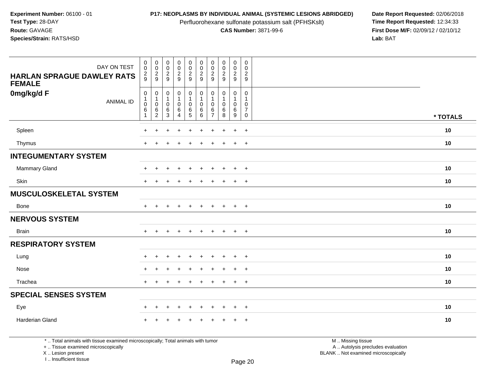Perfluorohexane sulfonate potassium salt (PFHSKslt)<br>**CAS Number:** 3871-99-6

**P17: NEOPLASMS BY INDIVIDUAL ANIMAL (SYSTEMIC LESIONS ABRIDGED)** Date Report Requested: 02/06/2018<br>Perfluorohexane sulfonate potassium salt (PFHSKslt) **Time Report Requested:** 12:34:33 **First Dose M/F:** 02/09/12 / 02/10/12<br>Lab: BAT **Lab:** BAT

| <b>HARLAN SPRAGUE DAWLEY RATS</b><br><b>FEMALE</b> | DAY ON TEST      | $\pmb{0}$<br>$\mathbf 0$<br>$\frac{2}{9}$                                | $_{\rm 0}^{\rm 0}$<br>$\frac{2}{9}$                                           | $_{\rm 0}^{\rm 0}$<br>$\frac{2}{9}$                               | $\pmb{0}$<br>$\pmb{0}$<br>$\frac{2}{9}$                             | $\pmb{0}$<br>$\pmb{0}$<br>$\frac{2}{9}$      | $\pmb{0}$<br>$\pmb{0}$<br>$\frac{2}{9}$   | $\pmb{0}$<br>$\mathsf 0$<br>$\frac{2}{9}$     | $\pmb{0}$<br>$\pmb{0}$<br>$\frac{2}{9}$ | $_{\rm 0}^{\rm 0}$<br>$\frac{2}{9}$                                                   | $\mathbf 0$<br>$\mathbf 0$<br>$\overline{c}$<br>9                 |          |
|----------------------------------------------------|------------------|--------------------------------------------------------------------------|-------------------------------------------------------------------------------|-------------------------------------------------------------------|---------------------------------------------------------------------|----------------------------------------------|-------------------------------------------|-----------------------------------------------|-----------------------------------------|---------------------------------------------------------------------------------------|-------------------------------------------------------------------|----------|
| 0mg/kg/d F                                         | <b>ANIMAL ID</b> | $\pmb{0}$<br>$\mathbf{1}$<br>$\boldsymbol{0}$<br>$\,6\,$<br>$\mathbf{1}$ | $\mathbf 0$<br>$\mathbf{1}$<br>$\mathsf{O}\xspace$<br>$\,6$<br>$\overline{2}$ | $\mathbf 0$<br>$\overline{1}$<br>$\mathbf 0$<br>6<br>$\mathbf{3}$ | 0<br>$\mathbf{1}$<br>$\mathsf{O}\xspace$<br>$\,6$<br>$\overline{4}$ | 0<br>$\mathbf{1}$<br>$\pmb{0}$<br>$\,6$<br>5 | 0<br>1<br>$\pmb{0}$<br>$\,6\,$<br>$\,6\,$ | 0<br>$\mathbf{1}$<br>0<br>6<br>$\overline{7}$ | $\pmb{0}$<br>$\pmb{0}$<br>$\,6\,$<br>8  | $\boldsymbol{0}$<br>$\overline{1}$<br>$\mathbf 0$<br>$6\phantom{a}$<br>$\overline{9}$ | 0<br>$\mathbf{1}$<br>$\mathbf 0$<br>$\overline{7}$<br>$\mathbf 0$ | * TOTALS |
| Spleen                                             |                  | $+$                                                                      | $\ddot{}$                                                                     | $\ddot{}$                                                         | $\ddot{}$                                                           | $\ddot{}$                                    | $\ddot{}$                                 | $\ddot{}$                                     | $\ddot{}$                               | $+$                                                                                   | $+$                                                               | 10       |
| Thymus                                             |                  | $+$                                                                      | $\ddot{}$                                                                     | $\div$                                                            | $\ddot{}$                                                           | $\ddot{}$                                    | $\ddot{}$                                 | $\ddot{}$                                     | $\ddot{}$                               | $+$                                                                                   | $+$                                                               | 10       |
| <b>INTEGUMENTARY SYSTEM</b>                        |                  |                                                                          |                                                                               |                                                                   |                                                                     |                                              |                                           |                                               |                                         |                                                                                       |                                                                   |          |
| <b>Mammary Gland</b>                               |                  | $+$                                                                      | $+$                                                                           | $\ddot{}$                                                         | $+$                                                                 | $\ddot{}$                                    | $\ddot{}$                                 | $\ddot{}$                                     | $+$                                     | $+$                                                                                   | $+$                                                               | 10       |
| Skin                                               |                  | $+$                                                                      |                                                                               |                                                                   |                                                                     |                                              |                                           |                                               |                                         | $\ddot{}$                                                                             | $+$                                                               | 10       |
| <b>MUSCULOSKELETAL SYSTEM</b>                      |                  |                                                                          |                                                                               |                                                                   |                                                                     |                                              |                                           |                                               |                                         |                                                                                       |                                                                   |          |
| Bone                                               |                  | $+$                                                                      | $\div$                                                                        |                                                                   | $\overline{+}$                                                      | $\div$                                       | $\div$                                    | $\pm$                                         | $\overline{+}$                          | $+$                                                                                   | $+$                                                               | 10       |
| <b>NERVOUS SYSTEM</b>                              |                  |                                                                          |                                                                               |                                                                   |                                                                     |                                              |                                           |                                               |                                         |                                                                                       |                                                                   |          |
| <b>Brain</b>                                       |                  | $+$                                                                      | $+$                                                                           | $\div$                                                            | $\ddot{}$                                                           | $\ddot{}$                                    | $\ddot{}$                                 | $+$                                           | $+$                                     | $+$                                                                                   | $+$                                                               | 10       |
| <b>RESPIRATORY SYSTEM</b>                          |                  |                                                                          |                                                                               |                                                                   |                                                                     |                                              |                                           |                                               |                                         |                                                                                       |                                                                   |          |
| Lung                                               |                  | $\ddot{}$                                                                | $\ddot{}$                                                                     | $\ddot{}$                                                         | $\ddot{}$                                                           | $\ddot{}$                                    | $\div$                                    | $\ddot{}$                                     | $\ddot{}$                               | $\ddot{}$                                                                             | $+$                                                               | 10       |
| Nose                                               |                  | $+$                                                                      | $\ddot{}$                                                                     |                                                                   | +                                                                   | ÷                                            | $\ddot{}$                                 |                                               | $\ddot{}$                               | $+$                                                                                   | $+$                                                               | 10       |
| Trachea                                            |                  | $+$                                                                      | $+$                                                                           | $\div$                                                            | $\ddot{}$                                                           | $\ddot{}$                                    | $\ddot{}$                                 | $\ddot{}$                                     | $\ddot{}$                               | $+$                                                                                   | $+$                                                               | 10       |
| <b>SPECIAL SENSES SYSTEM</b>                       |                  |                                                                          |                                                                               |                                                                   |                                                                     |                                              |                                           |                                               |                                         |                                                                                       |                                                                   |          |
| Eye                                                |                  | $+$                                                                      | $\ddot{}$                                                                     | $\ddot{}$                                                         | $+$                                                                 | $\ddot{}$                                    | $\ddot{}$                                 | $\pm$                                         | $\ddot{}$                               | $+$                                                                                   | $+$                                                               | 10       |
| Harderian Gland                                    |                  |                                                                          |                                                                               |                                                                   |                                                                     |                                              |                                           |                                               |                                         | +                                                                                     | $+$                                                               | 10       |

\* .. Total animals with tissue examined microscopically; Total animals with tumor

+ .. Tissue examined microscopically

X .. Lesion present

I .. Insufficient tissue

M .. Missing tissue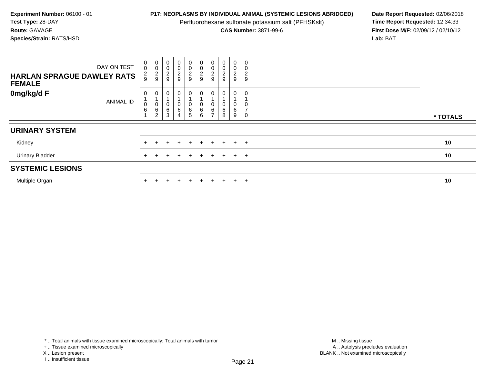Perfluorohexane sulfonate potassium salt (PFHSKslt)<br>**CAS Number:** 3871-99-6

**P17: NEOPLASMS BY INDIVIDUAL ANIMAL (SYSTEMIC LESIONS ABRIDGED)** Date Report Requested: 02/06/2018<br>Perfluorohexane sulfonate potassium salt (PFHSKslt) **Time Report Requested:** 12:34:33 **First Dose M/F:** 02/09/12 / 02/10/12<br>Lab: BAT **Lab:** BAT

| DAY ON TEST<br><b>HARLAN SPRAGUE DAWLEY RATS</b><br><b>FEMALE</b> |                  | $\pmb{0}$<br>$\boldsymbol{0}$<br>$\frac{2}{9}$ | $\begin{smallmatrix}0\0\0\end{smallmatrix}$<br>$\frac{2}{9}$ | 0<br>$\mathbf 0$<br>$\sqrt{2}$<br>9 | $\mathbf 0$<br>$\pmb{0}$<br>$\frac{2}{9}$           | $\overline{0}$<br>$\begin{array}{c} 0 \\ 2 \\ 9 \end{array}$ |                                            | $\mathbf 0$<br>$\pmb{0}$<br>$\frac{2}{9}$   | $\pmb{0}$<br>0<br>$\frac{2}{9}$ | $\pmb{0}$<br>$\mathsf 0$<br>$\frac{2}{9}$ | $\mathbf 0$<br>$\pmb{0}$<br>$\sqrt{2}$<br>$\boldsymbol{9}$ |          |
|-------------------------------------------------------------------|------------------|------------------------------------------------|--------------------------------------------------------------|-------------------------------------|-----------------------------------------------------|--------------------------------------------------------------|--------------------------------------------|---------------------------------------------|---------------------------------|-------------------------------------------|------------------------------------------------------------|----------|
| 0mg/kg/d F                                                        | <b>ANIMAL ID</b> | 0<br>0<br>$\,6\,$<br>$\overline{A}$            | $\overline{0}$<br>$\mathsf{O}\xspace$<br>6<br>$\overline{2}$ | 0<br>0<br>6<br>3                    | $\mathbf 0$<br>$\pmb{0}$<br>$\,6$<br>$\overline{4}$ | 0<br>0<br>$\frac{6}{5}$                                      | $\mathbf 0$<br>$\pmb{0}$<br>$\,6$<br>$\,6$ | 0<br>$\mathbf 0$<br>$\,6$<br>$\overline{ }$ | 0<br>6<br>8                     | 0<br>0<br>6<br>9                          | 0<br>0<br>$\rightarrow$<br>0                               | * TOTALS |
| <b>URINARY SYSTEM</b>                                             |                  |                                                |                                                              |                                     |                                                     |                                                              |                                            |                                             |                                 |                                           |                                                            |          |
| Kidney                                                            |                  |                                                |                                                              |                                     |                                                     | $+$                                                          | $+$                                        | $+$                                         | $+$                             | $+$                                       | $+$                                                        | 10       |
| <b>Urinary Bladder</b>                                            |                  | $+$                                            |                                                              |                                     |                                                     | $\pm$                                                        | $+$                                        | $\div$                                      | $+$                             | $+$ $+$                                   |                                                            | 10       |
| <b>SYSTEMIC LESIONS</b>                                           |                  |                                                |                                                              |                                     |                                                     |                                                              |                                            |                                             |                                 |                                           |                                                            |          |
| Multiple Organ                                                    |                  |                                                |                                                              |                                     |                                                     | $\pm$                                                        | $+$                                        |                                             | ÷.                              | $+$                                       | $\pm$                                                      | 10       |

\* .. Total animals with tissue examined microscopically; Total animals with tumor

X .. Lesion present

<sup>+ ..</sup> Tissue examined microscopically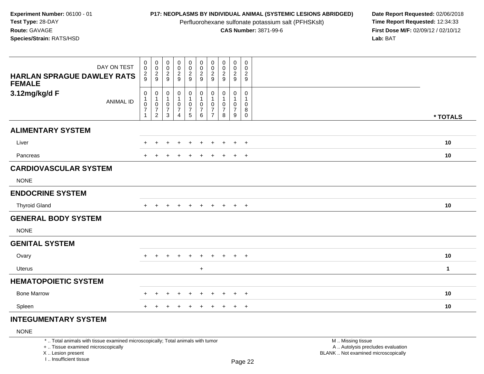Perfluorohexane sulfonate potassium salt (PFHSKslt)<br>**CAS Number:** 3871-99-6

**P17: NEOPLASMS BY INDIVIDUAL ANIMAL (SYSTEMIC LESIONS ABRIDGED)** Date Report Requested: 02/06/2018<br>Perfluorohexane sulfonate potassium salt (PFHSKslt) **Time Report Requested:** 12:34:33 **First Dose M/F:** 02/09/12 / 02/10/12<br>Lab: BAT **Lab:** BAT

| DAY ON TEST<br><b>HARLAN SPRAGUE DAWLEY RATS</b><br><b>FEMALE</b> | $\,0\,$<br>$\pmb{0}$<br>$\frac{2}{9}$                                  | $\boldsymbol{0}$<br>$\,0\,$<br>$\frac{2}{9}$                               | $\pmb{0}$<br>$\mathsf{O}\xspace$<br>$\frac{2}{9}$     | $\begin{array}{c} 0 \\ 0 \\ 2 \\ 9 \end{array}$                 | $\mathsf 0$<br>$\frac{0}{2}$                                                     | $\pmb{0}$<br>$\pmb{0}$<br>$\overline{2}$<br>$\boldsymbol{9}$ | $\pmb{0}$<br>$\pmb{0}$<br>$\overline{2}$<br>9   | $\pmb{0}$<br>$\frac{0}{2}$                              | $\mathbf 0$<br>$\pmb{0}$<br>$\overline{2}$<br>9         | 0<br>0<br>$\overline{c}$<br>9                              |              |
|-------------------------------------------------------------------|------------------------------------------------------------------------|----------------------------------------------------------------------------|-------------------------------------------------------|-----------------------------------------------------------------|----------------------------------------------------------------------------------|--------------------------------------------------------------|-------------------------------------------------|---------------------------------------------------------|---------------------------------------------------------|------------------------------------------------------------|--------------|
| 3.12mg/kg/d F<br><b>ANIMAL ID</b>                                 | $\,0\,$<br>$\mathbf{1}$<br>$\,0\,$<br>$\overline{7}$<br>$\overline{1}$ | $\pmb{0}$<br>$\mathbf{1}$<br>$\pmb{0}$<br>$\overline{7}$<br>$\overline{2}$ | $\pmb{0}$<br>$\mathbf{1}$<br>0<br>$\overline{7}$<br>3 | $\pmb{0}$<br>1<br>$\pmb{0}$<br>$\overline{7}$<br>$\overline{4}$ | $\mathbf 0$<br>$\mathbf{1}$<br>$\mathbf 0$<br>$\boldsymbol{7}$<br>$\overline{5}$ | 0<br>$\mathbf{1}$<br>$\mathbf 0$<br>$\overline{7}$<br>6      | 0<br>1<br>0<br>$\overline{7}$<br>$\overline{7}$ | $\mathbf 0$<br>$\mathbf{1}$<br>0<br>$\overline{7}$<br>8 | 0<br>$\mathbf{1}$<br>$\mathbf 0$<br>$\overline{7}$<br>9 | $\mathbf 0$<br>$\mathbf{1}$<br>0<br>$\bf 8$<br>$\mathbf 0$ | * TOTALS     |
| <b>ALIMENTARY SYSTEM</b>                                          |                                                                        |                                                                            |                                                       |                                                                 |                                                                                  |                                                              |                                                 |                                                         |                                                         |                                                            |              |
| Liver                                                             |                                                                        |                                                                            |                                                       |                                                                 |                                                                                  |                                                              |                                                 |                                                         | $\ddot{}$                                               | $+$                                                        | 10           |
| Pancreas                                                          |                                                                        |                                                                            |                                                       | $\div$                                                          | $\pm$                                                                            | $\ddot{}$                                                    | $\pm$                                           |                                                         | $\ddot{}$                                               | $+$                                                        | 10           |
| <b>CARDIOVASCULAR SYSTEM</b><br><b>NONE</b>                       |                                                                        |                                                                            |                                                       |                                                                 |                                                                                  |                                                              |                                                 |                                                         |                                                         |                                                            |              |
| <b>ENDOCRINE SYSTEM</b>                                           |                                                                        |                                                                            |                                                       |                                                                 |                                                                                  |                                                              |                                                 |                                                         |                                                         |                                                            |              |
| <b>Thyroid Gland</b>                                              | $+$                                                                    | $\pm$                                                                      |                                                       | ٠                                                               | +                                                                                | $\div$                                                       | $\pm$                                           | $\ddot{}$                                               | $+$                                                     | $+$                                                        | 10           |
| <b>GENERAL BODY SYSTEM</b><br><b>NONE</b>                         |                                                                        |                                                                            |                                                       |                                                                 |                                                                                  |                                                              |                                                 |                                                         |                                                         |                                                            |              |
| <b>GENITAL SYSTEM</b>                                             |                                                                        |                                                                            |                                                       |                                                                 |                                                                                  |                                                              |                                                 |                                                         |                                                         |                                                            |              |
| Ovary                                                             | $+$                                                                    | $\pm$                                                                      |                                                       | $\div$                                                          | ÷                                                                                |                                                              |                                                 |                                                         | $\ddot{}$                                               | $+$                                                        | 10           |
| Uterus                                                            |                                                                        |                                                                            |                                                       |                                                                 |                                                                                  | $+$                                                          |                                                 |                                                         |                                                         |                                                            | $\mathbf{1}$ |
| <b>HEMATOPOIETIC SYSTEM</b>                                       |                                                                        |                                                                            |                                                       |                                                                 |                                                                                  |                                                              |                                                 |                                                         |                                                         |                                                            |              |
| <b>Bone Marrow</b>                                                | $+$                                                                    | $\div$                                                                     | $\pm$                                                 | $\overline{+}$                                                  | $\pm$                                                                            | $\ddot{}$                                                    | $\pm$                                           | $\pm$                                                   | $\ddot{}$                                               | $+$                                                        | 10           |
| Spleen                                                            |                                                                        |                                                                            |                                                       |                                                                 |                                                                                  |                                                              |                                                 |                                                         | $+$                                                     | $+$                                                        | 10           |

## **INTEGUMENTARY SYSTEM**

### NONE

\* .. Total animals with tissue examined microscopically; Total animals with tumor

+ .. Tissue examined microscopically

X .. Lesion present

I .. Insufficient tissue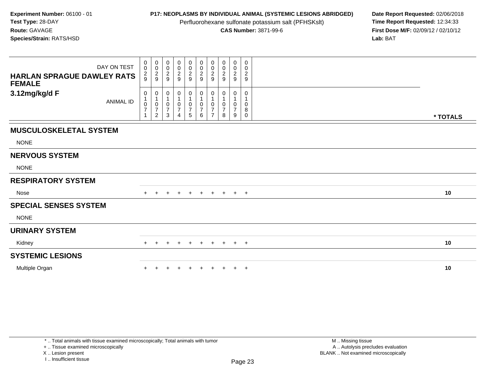Perfluorohexane sulfonate potassium salt (PFHSKslt)<br>**CAS Number:** 3871-99-6

**P17: NEOPLASMS BY INDIVIDUAL ANIMAL (SYSTEMIC LESIONS ABRIDGED)** Date Report Requested: 02/06/2018<br>Perfluorohexane sulfonate potassium salt (PFHSKslt) **Time Report Requested:** 12:34:33 **First Dose M/F:** 02/09/12 / 02/10/12<br>Lab: BAT **Lab:** BAT

| DAY ON TEST<br><b>HARLAN SPRAGUE DAWLEY RATS</b><br><b>FEMALE</b> | $\pmb{0}$<br>$\mathbf 0$<br>$\frac{2}{9}$ | $\boldsymbol{0}$<br>0<br>$\frac{2}{9}$                    | $\mathbf 0$<br>$\mathbf 0$<br>$\boldsymbol{2}$<br>9 | $\begin{smallmatrix}0\0\0\end{smallmatrix}$<br>$\frac{2}{9}$ | $\begin{smallmatrix}0\\0\end{smallmatrix}$<br>$\frac{2}{9}$ | $\begin{smallmatrix} 0\\0 \end{smallmatrix}$<br>$\frac{2}{9}$ | 0<br>0<br>$\overline{\mathbf{c}}$<br>9 | $\pmb{0}$<br>0<br>2<br>9 | $\mathbf 0$<br>0<br>$\overline{c}$<br>9 | $\pmb{0}$<br>0<br>$\frac{2}{9}$ |          |  |
|-------------------------------------------------------------------|-------------------------------------------|-----------------------------------------------------------|-----------------------------------------------------|--------------------------------------------------------------|-------------------------------------------------------------|---------------------------------------------------------------|----------------------------------------|--------------------------|-----------------------------------------|---------------------------------|----------|--|
| 3.12mg/kg/d F<br><b>ANIMAL ID</b>                                 | 0<br>$\pmb{0}$<br>$\overline{7}$          | 0<br>$\mathbf 1$<br>0<br>$\overline{7}$<br>$\overline{c}$ | 0<br>1<br>$\,0\,$<br>$\overline{7}$<br>3            | 0<br>$\frac{0}{7}$<br>4                                      | 0<br>$\mathbf{1}$<br>$\frac{0}{7}$<br>5                     | 0<br>1<br>$\frac{0}{7}$<br>6                                  | 0<br>$\overline{7}$<br>$\overline{7}$  | 0<br>$\Omega$<br>7<br>8  | 0<br>0<br>$\overline{7}$<br>9           | 0<br>0<br>8<br>$\pmb{0}$        | * TOTALS |  |
| <b>MUSCULOSKELETAL SYSTEM</b>                                     |                                           |                                                           |                                                     |                                                              |                                                             |                                                               |                                        |                          |                                         |                                 |          |  |
| <b>NONE</b>                                                       |                                           |                                                           |                                                     |                                                              |                                                             |                                                               |                                        |                          |                                         |                                 |          |  |
| <b>NERVOUS SYSTEM</b>                                             |                                           |                                                           |                                                     |                                                              |                                                             |                                                               |                                        |                          |                                         |                                 |          |  |
| <b>NONE</b>                                                       |                                           |                                                           |                                                     |                                                              |                                                             |                                                               |                                        |                          |                                         |                                 |          |  |
| <b>RESPIRATORY SYSTEM</b>                                         |                                           |                                                           |                                                     |                                                              |                                                             |                                                               |                                        |                          |                                         |                                 |          |  |
| Nose                                                              | $+$                                       | $\ddot{}$                                                 |                                                     | $\ddot{}$                                                    | $+$                                                         | $+$                                                           |                                        |                          | $+$ $+$ $+$ $+$                         |                                 | 10       |  |
| <b>SPECIAL SENSES SYSTEM</b>                                      |                                           |                                                           |                                                     |                                                              |                                                             |                                                               |                                        |                          |                                         |                                 |          |  |
| <b>NONE</b>                                                       |                                           |                                                           |                                                     |                                                              |                                                             |                                                               |                                        |                          |                                         |                                 |          |  |
| <b>URINARY SYSTEM</b>                                             |                                           |                                                           |                                                     |                                                              |                                                             |                                                               |                                        |                          |                                         |                                 |          |  |
| Kidney                                                            | $+$                                       | $+$                                                       | $\pm$                                               | $+$                                                          | $+$                                                         | $+$                                                           | $+$ $+$                                |                          | $+$                                     | $+$                             | 10       |  |
| <b>SYSTEMIC LESIONS</b>                                           |                                           |                                                           |                                                     |                                                              |                                                             |                                                               |                                        |                          |                                         |                                 |          |  |
| Multiple Organ                                                    |                                           |                                                           |                                                     |                                                              |                                                             |                                                               |                                        |                          | $+$                                     | $+$                             | 10       |  |

\* .. Total animals with tissue examined microscopically; Total animals with tumor

+ .. Tissue examined microscopically

X .. Lesion present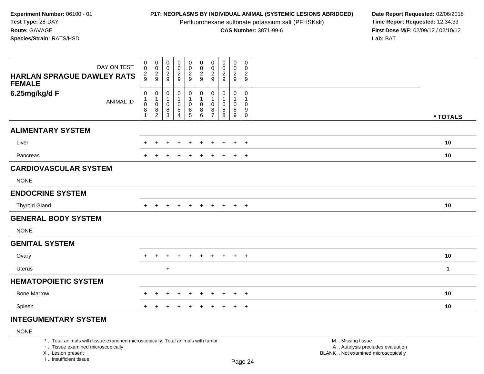Perfluorohexane sulfonate potassium salt (PFHSKslt)<br>**CAS Number:** 3871-99-6

**P17: NEOPLASMS BY INDIVIDUAL ANIMAL (SYSTEMIC LESIONS ABRIDGED)** Date Report Requested: 02/06/2018<br>Perfluorohexane sulfonate potassium salt (PFHSKslt) **Time Report Requested:** 12:34:33 **First Dose M/F:** 02/09/12 / 02/10/12<br>Lab: BAT **Lab:** BAT

| DAY ON TEST<br><b>HARLAN SPRAGUE DAWLEY RATS</b><br><b>FEMALE</b> | $\pmb{0}$<br>$\boldsymbol{0}$<br>$\frac{2}{9}$                        | $\boldsymbol{0}$<br>$\,0\,$<br>$\frac{2}{9}$                     | $\pmb{0}$<br>$\mathsf{O}\xspace$<br>$\frac{2}{9}$ | $\begin{array}{c} 0 \\ 0 \\ 2 \\ 9 \end{array}$          | $\mathsf 0$<br>$\frac{0}{2}$                                | $\pmb{0}$<br>$\pmb{0}$<br>$\overline{2}$<br>$\boldsymbol{9}$ | $\pmb{0}$<br>$\boldsymbol{0}$<br>$\overline{2}$<br>9 | $\pmb{0}$<br>$\frac{0}{2}$                       | $\mathbf 0$<br>$\pmb{0}$<br>$\overline{2}$<br>9  | 0<br>0<br>$\overline{c}$<br>9                  |              |
|-------------------------------------------------------------------|-----------------------------------------------------------------------|------------------------------------------------------------------|---------------------------------------------------|----------------------------------------------------------|-------------------------------------------------------------|--------------------------------------------------------------|------------------------------------------------------|--------------------------------------------------|--------------------------------------------------|------------------------------------------------|--------------|
| 6.25mg/kg/d F<br><b>ANIMAL ID</b>                                 | $\pmb{0}$<br>$\mathbf{1}$<br>$\mathbf 0$<br>$\bf 8$<br>$\overline{1}$ | $\pmb{0}$<br>$\mathbf{1}$<br>$\,0\,$<br>$\bf8$<br>$\overline{c}$ | 0<br>$\mathbf{1}$<br>0<br>$\, 8$<br>3             | $\pmb{0}$<br>1<br>$\pmb{0}$<br>$\bf 8$<br>$\overline{4}$ | $\mathbf 0$<br>$\mathbf{1}$<br>$\mathbf 0$<br>$\frac{8}{5}$ | 0<br>$\mathbf{1}$<br>0<br>$\,8\,$<br>6                       | 0<br>1<br>0<br>8<br>$\overline{7}$                   | $\mathbf 0$<br>$\mathbf{1}$<br>0<br>$\bf 8$<br>8 | 0<br>$\mathbf{1}$<br>$\mathbf 0$<br>$\bf 8$<br>9 | $\mathbf 0$<br>$\mathbf{1}$<br>0<br>$_{0}^{9}$ | * TOTALS     |
| <b>ALIMENTARY SYSTEM</b>                                          |                                                                       |                                                                  |                                                   |                                                          |                                                             |                                                              |                                                      |                                                  |                                                  |                                                |              |
| Liver                                                             |                                                                       |                                                                  |                                                   |                                                          |                                                             |                                                              |                                                      |                                                  | $\ddot{}$                                        | $+$                                            | 10           |
| Pancreas                                                          |                                                                       |                                                                  |                                                   | $\div$                                                   | $\ddot{}$                                                   | $\ddot{}$                                                    | $\ddot{}$                                            |                                                  | $\ddot{}$                                        | $+$                                            | 10           |
| <b>CARDIOVASCULAR SYSTEM</b><br><b>NONE</b>                       |                                                                       |                                                                  |                                                   |                                                          |                                                             |                                                              |                                                      |                                                  |                                                  |                                                |              |
| <b>ENDOCRINE SYSTEM</b>                                           |                                                                       |                                                                  |                                                   |                                                          |                                                             |                                                              |                                                      |                                                  |                                                  |                                                |              |
| <b>Thyroid Gland</b>                                              | $+$                                                                   | $\pm$                                                            |                                                   | ٠                                                        | +                                                           | $\div$                                                       | $\pm$                                                | $\ddot{}$                                        | $+$                                              | $+$                                            | 10           |
| <b>GENERAL BODY SYSTEM</b><br><b>NONE</b>                         |                                                                       |                                                                  |                                                   |                                                          |                                                             |                                                              |                                                      |                                                  |                                                  |                                                |              |
| <b>GENITAL SYSTEM</b>                                             |                                                                       |                                                                  |                                                   |                                                          |                                                             |                                                              |                                                      |                                                  |                                                  |                                                |              |
| Ovary                                                             | $+$                                                                   | $\div$                                                           |                                                   |                                                          |                                                             |                                                              | $\pm$                                                |                                                  | $+$                                              | $+$                                            | 10           |
| Uterus                                                            |                                                                       |                                                                  | $+$                                               |                                                          |                                                             |                                                              |                                                      |                                                  |                                                  |                                                | $\mathbf{1}$ |
| <b>HEMATOPOIETIC SYSTEM</b>                                       |                                                                       |                                                                  |                                                   |                                                          |                                                             |                                                              |                                                      |                                                  |                                                  |                                                |              |
| <b>Bone Marrow</b>                                                | $\pm$                                                                 | $\div$                                                           | $\div$                                            | $\overline{+}$                                           | $\pm$                                                       | $\ddot{}$                                                    | $\ddot{}$                                            | $\pm$                                            | $\ddot{}$                                        | $+$                                            | 10           |
| Spleen                                                            |                                                                       |                                                                  |                                                   |                                                          |                                                             |                                                              |                                                      |                                                  | $+$                                              | $+$                                            | 10           |

## **INTEGUMENTARY SYSTEM**

### NONE

\* .. Total animals with tissue examined microscopically; Total animals with tumor

+ .. Tissue examined microscopically

X .. Lesion present

I .. Insufficient tissue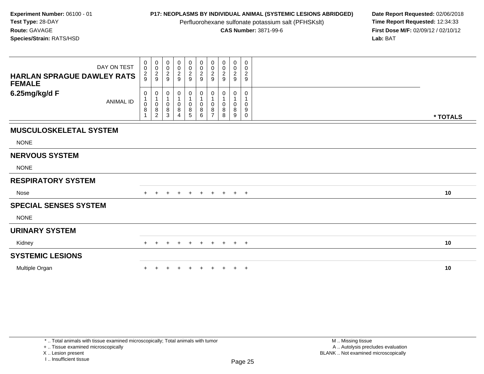Perfluorohexane sulfonate potassium salt (PFHSKslt)<br>**CAS Number:** 3871-99-6

**P17: NEOPLASMS BY INDIVIDUAL ANIMAL (SYSTEMIC LESIONS ABRIDGED)** Date Report Requested: 02/06/2018<br>Perfluorohexane sulfonate potassium salt (PFHSKslt) **Time Report Requested:** 12:34:33 **First Dose M/F:** 02/09/12 / 02/10/12<br>Lab: BAT **Lab:** BAT

| DAY ON TEST<br><b>HARLAN SPRAGUE DAWLEY RATS</b><br><b>FEMALE</b> | $\pmb{0}$<br>$\pmb{0}$<br>$\frac{2}{9}$ | $\pmb{0}$<br>$\pmb{0}$<br>$\frac{2}{9}$ | $\begin{smallmatrix} 0\\0 \end{smallmatrix}$<br>$\overline{c}$<br>9 | $\begin{smallmatrix} 0\\0 \end{smallmatrix}$<br>$\frac{2}{9}$ | $\mathbf 0$<br>$\pmb{0}$<br>$\frac{2}{9}$ | $\pmb{0}$<br>$\mathbf 0$<br>$\frac{2}{9}$ | $\pmb{0}$<br>$\pmb{0}$<br>$\overline{c}$<br>9 | $\pmb{0}$<br>0<br>$\overline{\mathbf{c}}$<br>9 | 0<br>$\mathbf 0$<br>$\overline{c}$<br>9 | $\pmb{0}$<br>0<br>$\boldsymbol{2}$<br>$\boldsymbol{9}$ |          |
|-------------------------------------------------------------------|-----------------------------------------|-----------------------------------------|---------------------------------------------------------------------|---------------------------------------------------------------|-------------------------------------------|-------------------------------------------|-----------------------------------------------|------------------------------------------------|-----------------------------------------|--------------------------------------------------------|----------|
| 6.25mg/kg/d F<br><b>ANIMAL ID</b>                                 | 0<br>$\pmb{0}$<br>8                     | 0<br>$\,0\,$<br>8<br>$\overline{2}$     | 0<br>$\mathbf{1}$<br>0<br>8<br>3                                    | 0<br>0<br>8<br>4                                              | 0<br>0<br>8<br>5                          | 0<br>$\pmb{0}$<br>$\bf 8$<br>6            | 0<br>0<br>8                                   | 0<br>1<br>$\Omega$<br>8<br>8                   | 0<br>0<br>8<br>9                        | 0<br>0<br>9<br>0                                       | * TOTALS |
| <b>MUSCULOSKELETAL SYSTEM</b>                                     |                                         |                                         |                                                                     |                                                               |                                           |                                           |                                               |                                                |                                         |                                                        |          |
| <b>NONE</b>                                                       |                                         |                                         |                                                                     |                                                               |                                           |                                           |                                               |                                                |                                         |                                                        |          |
| <b>NERVOUS SYSTEM</b>                                             |                                         |                                         |                                                                     |                                                               |                                           |                                           |                                               |                                                |                                         |                                                        |          |
| <b>NONE</b>                                                       |                                         |                                         |                                                                     |                                                               |                                           |                                           |                                               |                                                |                                         |                                                        |          |
| <b>RESPIRATORY SYSTEM</b>                                         |                                         |                                         |                                                                     |                                                               |                                           |                                           |                                               |                                                |                                         |                                                        |          |
| Nose                                                              | $+$                                     | $\ddot{}$                               | $\ddot{}$                                                           | $+$                                                           | $+$                                       | $+$                                       |                                               | $+$ $+$ $+$ $+$                                |                                         |                                                        | 10       |
| <b>SPECIAL SENSES SYSTEM</b>                                      |                                         |                                         |                                                                     |                                                               |                                           |                                           |                                               |                                                |                                         |                                                        |          |
| <b>NONE</b>                                                       |                                         |                                         |                                                                     |                                                               |                                           |                                           |                                               |                                                |                                         |                                                        |          |
| <b>URINARY SYSTEM</b>                                             |                                         |                                         |                                                                     |                                                               |                                           |                                           |                                               |                                                |                                         |                                                        |          |
| Kidney                                                            | $+$                                     | $\pm$                                   | $\pm$                                                               | $+$                                                           | $+$                                       | $+$                                       | $+$                                           | $+$                                            | $+$                                     | $+$                                                    | 10       |
| <b>SYSTEMIC LESIONS</b>                                           |                                         |                                         |                                                                     |                                                               |                                           |                                           |                                               |                                                |                                         |                                                        |          |
| Multiple Organ                                                    |                                         |                                         |                                                                     |                                                               |                                           |                                           |                                               |                                                | $\ddot{}$                               | $+$                                                    | 10       |

\* .. Total animals with tissue examined microscopically; Total animals with tumor

+ .. Tissue examined microscopically

X .. Lesion present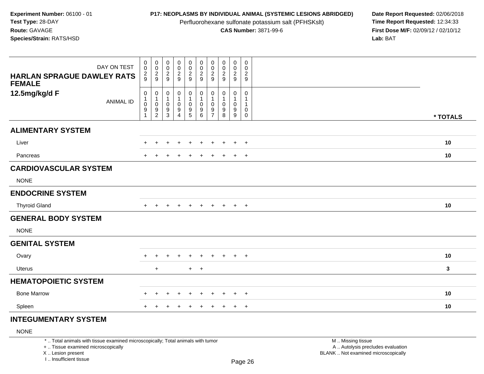Perfluorohexane sulfonate potassium salt (PFHSKslt)<br>**CAS Number:** 3871-99-6

**P17: NEOPLASMS BY INDIVIDUAL ANIMAL (SYSTEMIC LESIONS ABRIDGED)** Date Report Requested: 02/06/2018<br>Perfluorohexane sulfonate potassium salt (PFHSKslt) **Time Report Requested:** 12:34:33 **First Dose M/F:** 02/09/12 / 02/10/12<br>Lab: BAT **Lab:** BAT

| DAY ON TEST<br><b>HARLAN SPRAGUE DAWLEY RATS</b> | $\pmb{0}$<br>0<br>$\frac{2}{9}$                             | $\overline{0}$<br>$\mathbf 0$<br>$\frac{2}{9}$             | $\pmb{0}$<br>$\pmb{0}$<br>$\frac{2}{9}$           | $\begin{smallmatrix}0\0\0\end{smallmatrix}$<br>$\frac{2}{9}$ | $\mathbf 0$<br>$\mathbf 0$<br>$\frac{2}{9}$                             | $\pmb{0}$<br>$\pmb{0}$<br>$\frac{2}{9}$                    | $\pmb{0}$<br>0<br>$\overline{2}$ | $\pmb{0}$<br>$\pmb{0}$<br>$\sqrt{2}$ | $\mathbf 0$<br>$\mathbf 0$<br>$\frac{2}{9}$ | 0<br>$\mathbf 0$<br>$\boldsymbol{2}$             |          |
|--------------------------------------------------|-------------------------------------------------------------|------------------------------------------------------------|---------------------------------------------------|--------------------------------------------------------------|-------------------------------------------------------------------------|------------------------------------------------------------|----------------------------------|--------------------------------------|---------------------------------------------|--------------------------------------------------|----------|
| <b>FEMALE</b>                                    |                                                             |                                                            |                                                   |                                                              |                                                                         |                                                            | 9                                | 9                                    |                                             | 9                                                |          |
| 12.5mg/kg/d F<br><b>ANIMAL ID</b>                | $\pmb{0}$<br>$\mathbf 1$<br>$\mathbf 0$<br>$\boldsymbol{9}$ | $\pmb{0}$<br>$\mathbf{1}$<br>$\pmb{0}$<br>$\boldsymbol{9}$ | $\pmb{0}$<br>1<br>$\mathbf 0$<br>$\boldsymbol{9}$ | 0<br>$\mathbf{1}$<br>0<br>$\boldsymbol{9}$                   | 0<br>$\mathbf{1}$<br>$\pmb{0}$<br>$\begin{array}{c} 9 \\ 5 \end{array}$ | $\pmb{0}$<br>$\mathbf{1}$<br>$\pmb{0}$<br>$\boldsymbol{9}$ | 0<br>-1<br>0<br>9                | 0<br>1<br>0<br>9                     | 0<br>$\mathbf{1}$<br>0<br>9                 | $\mathbf 0$<br>-1<br>$\overline{1}$<br>$\pmb{0}$ |          |
|                                                  | $\overline{1}$                                              | $\overline{c}$                                             | 3                                                 | 4                                                            |                                                                         | 6                                                          | $\overline{7}$                   | 8                                    | 9                                           | $\mathbf 0$                                      | * TOTALS |
| <b>ALIMENTARY SYSTEM</b>                         |                                                             |                                                            |                                                   |                                                              |                                                                         |                                                            |                                  |                                      |                                             |                                                  |          |
| Liver                                            |                                                             |                                                            |                                                   |                                                              | ÷                                                                       |                                                            | ÷                                |                                      | $\ddot{}$                                   | $+$                                              | 10       |
| Pancreas                                         |                                                             |                                                            |                                                   | $\div$                                                       | $\ddot{}$                                                               |                                                            |                                  |                                      | $\ddot{}$                                   | $+$                                              | 10       |
| <b>CARDIOVASCULAR SYSTEM</b>                     |                                                             |                                                            |                                                   |                                                              |                                                                         |                                                            |                                  |                                      |                                             |                                                  |          |
| <b>NONE</b>                                      |                                                             |                                                            |                                                   |                                                              |                                                                         |                                                            |                                  |                                      |                                             |                                                  |          |
| <b>ENDOCRINE SYSTEM</b>                          |                                                             |                                                            |                                                   |                                                              |                                                                         |                                                            |                                  |                                      |                                             |                                                  |          |
| <b>Thyroid Gland</b>                             | $+$                                                         |                                                            |                                                   | $\div$                                                       | $\pm$                                                                   |                                                            | $+$                              | $\pm$                                | $+$                                         | $+$                                              | 10       |
| <b>GENERAL BODY SYSTEM</b>                       |                                                             |                                                            |                                                   |                                                              |                                                                         |                                                            |                                  |                                      |                                             |                                                  |          |
| <b>NONE</b>                                      |                                                             |                                                            |                                                   |                                                              |                                                                         |                                                            |                                  |                                      |                                             |                                                  |          |
| <b>GENITAL SYSTEM</b>                            |                                                             |                                                            |                                                   |                                                              |                                                                         |                                                            |                                  |                                      |                                             |                                                  |          |
| Ovary                                            |                                                             |                                                            |                                                   |                                                              |                                                                         |                                                            |                                  |                                      | $\ddot{}$                                   | $+$                                              | 10       |
| <b>Uterus</b>                                    |                                                             | $\ddot{}$                                                  |                                                   |                                                              |                                                                         | $+$ $+$                                                    |                                  |                                      |                                             |                                                  | 3        |
| <b>HEMATOPOIETIC SYSTEM</b>                      |                                                             |                                                            |                                                   |                                                              |                                                                         |                                                            |                                  |                                      |                                             |                                                  |          |
| <b>Bone Marrow</b>                               | ÷                                                           | $\ddot{}$                                                  | ÷                                                 | $\ddot{}$                                                    | $\ddot{}$                                                               | $\ddot{}$                                                  | $\pm$                            | $\pm$                                | $\ddot{}$                                   | $+$                                              | 10       |
| Spleen                                           |                                                             |                                                            |                                                   |                                                              |                                                                         |                                                            |                                  |                                      | $\pm$                                       | $+$                                              | 10       |

## **INTEGUMENTARY SYSTEM**

### NONE

\* .. Total animals with tissue examined microscopically; Total animals with tumor

+ .. Tissue examined microscopically

X .. Lesion present

I .. Insufficient tissue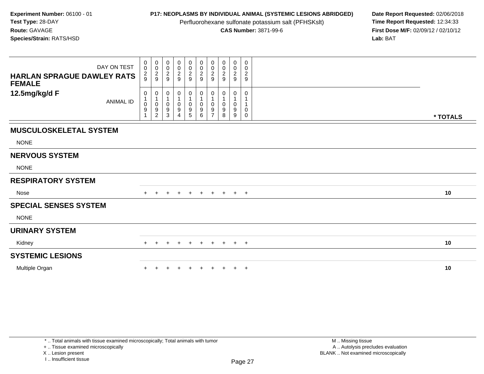Perfluorohexane sulfonate potassium salt (PFHSKslt)<br>**CAS Number:** 3871-99-6

**P17: NEOPLASMS BY INDIVIDUAL ANIMAL (SYSTEMIC LESIONS ABRIDGED)** Date Report Requested: 02/06/2018<br>Perfluorohexane sulfonate potassium salt (PFHSKslt) **Time Report Requested:** 12:34:33 **First Dose M/F:** 02/09/12 / 02/10/12<br>Lab: BAT **Lab:** BAT

| <b>HARLAN SPRAGUE DAWLEY RATS</b><br><b>FEMALE</b> | DAY ON TEST      | 0<br>$\mathbf 0$<br>$\overline{c}$<br>9 | 0<br>$\pmb{0}$<br>$\frac{2}{9}$ | $_{\rm 0}^{\rm 0}$<br>$\frac{2}{9}$ | $\begin{smallmatrix} 0\\0 \end{smallmatrix}$<br>$\sqrt{2}$<br>$\boldsymbol{9}$ | $\mathbf 0$<br>$\pmb{0}$<br>$\sqrt{2}$<br>$\boldsymbol{9}$                 | 0<br>0<br>$\overline{c}$<br>9 | 0<br>0<br>$\overline{\mathbf{c}}$<br>9 | 0<br>$\pmb{0}$<br>$\overline{\mathbf{c}}$<br>9 | $\mathbf 0$<br>$\mathbf 0$<br>$\overline{2}$<br>9               | 0<br>0<br>$\overline{2}$<br>9 |          |
|----------------------------------------------------|------------------|-----------------------------------------|---------------------------------|-------------------------------------|--------------------------------------------------------------------------------|----------------------------------------------------------------------------|-------------------------------|----------------------------------------|------------------------------------------------|-----------------------------------------------------------------|-------------------------------|----------|
| 12.5mg/kg/d F                                      | <b>ANIMAL ID</b> | 0<br>$\Omega$<br>9                      | 0<br>0<br>9<br>$\overline{c}$   | 0<br>$\mathbf 0$<br>9<br>3          | $\mathbf 0$<br>1<br>$\pmb{0}$<br>$\boldsymbol{9}$<br>4                         | $\boldsymbol{0}$<br>$\overline{1}$<br>$\mathbf 0$<br>$\boldsymbol{9}$<br>5 | 0<br>0<br>9<br>6              | $\Omega$<br>9                          | 0<br>$\mathbf 0$<br>9<br>8                     | 0<br>$\overline{1}$<br>$\mathbf 0$<br>$9\,$<br>$\boldsymbol{9}$ | 0<br>1<br>0<br>0              | * TOTALS |
| <b>MUSCULOSKELETAL SYSTEM</b>                      |                  |                                         |                                 |                                     |                                                                                |                                                                            |                               |                                        |                                                |                                                                 |                               |          |
| <b>NONE</b>                                        |                  |                                         |                                 |                                     |                                                                                |                                                                            |                               |                                        |                                                |                                                                 |                               |          |
| <b>NERVOUS SYSTEM</b>                              |                  |                                         |                                 |                                     |                                                                                |                                                                            |                               |                                        |                                                |                                                                 |                               |          |
| <b>NONE</b>                                        |                  |                                         |                                 |                                     |                                                                                |                                                                            |                               |                                        |                                                |                                                                 |                               |          |
| <b>RESPIRATORY SYSTEM</b>                          |                  |                                         |                                 |                                     |                                                                                |                                                                            |                               |                                        |                                                |                                                                 |                               |          |
| Nose                                               |                  | $+$                                     | $+$                             | $+$                                 | $+$                                                                            | $+$                                                                        |                               |                                        | + + + + +                                      |                                                                 |                               | 10       |
| <b>SPECIAL SENSES SYSTEM</b>                       |                  |                                         |                                 |                                     |                                                                                |                                                                            |                               |                                        |                                                |                                                                 |                               |          |
| <b>NONE</b>                                        |                  |                                         |                                 |                                     |                                                                                |                                                                            |                               |                                        |                                                |                                                                 |                               |          |
| <b>URINARY SYSTEM</b>                              |                  |                                         |                                 |                                     |                                                                                |                                                                            |                               |                                        |                                                |                                                                 |                               |          |
| Kidney                                             |                  | $+$                                     | $+$                             | $+$                                 | $+$                                                                            | $+$                                                                        | $+$                           | $+$                                    | $+$                                            | $+$                                                             | $+$                           | 10       |
| <b>SYSTEMIC LESIONS</b>                            |                  |                                         |                                 |                                     |                                                                                |                                                                            |                               |                                        |                                                |                                                                 |                               |          |
| Multiple Organ                                     |                  |                                         |                                 |                                     |                                                                                |                                                                            |                               |                                        | $\pm$                                          | $+$                                                             | $+$                           | 10       |

+ .. Tissue examined microscopically

X .. Lesion present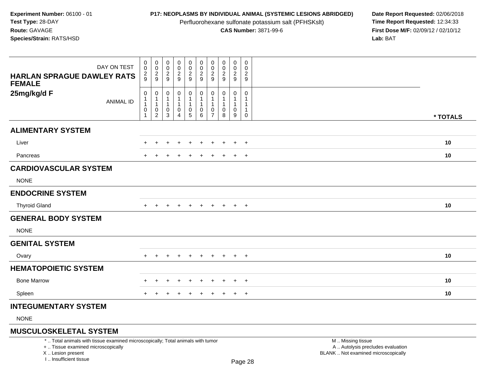Perfluorohexane sulfonate potassium salt (PFHSKslt)<br>**CAS Number:** 3871-99-6

**P17: NEOPLASMS BY INDIVIDUAL ANIMAL (SYSTEMIC LESIONS ABRIDGED)** Date Report Requested: 02/06/2018<br>Perfluorohexane sulfonate potassium salt (PFHSKslt) **Time Report Requested:** 12:34:33 **First Dose M/F:** 02/09/12 / 02/10/12 Lab: BAT **Lab:** BAT

| DAY ON TEST                                        | $\pmb{0}$<br>$\pmb{0}$                                                          | $\pmb{0}$<br>$\boldsymbol{0}$         | 0<br>$\,0\,$                                                | $\pmb{0}$<br>$\pmb{0}$                             | 0<br>0                                     | $\pmb{0}$                                                                      | 0<br>0                   | 0<br>0              | 0<br>0                          | $\mathbf 0$<br>0                                       |          |
|----------------------------------------------------|---------------------------------------------------------------------------------|---------------------------------------|-------------------------------------------------------------|----------------------------------------------------|--------------------------------------------|--------------------------------------------------------------------------------|--------------------------|---------------------|---------------------------------|--------------------------------------------------------|----------|
| <b>HARLAN SPRAGUE DAWLEY RATS</b><br><b>FEMALE</b> | $\frac{2}{9}$                                                                   | $\frac{2}{9}$                         | $\frac{2}{9}$                                               | $\frac{2}{9}$                                      | $\frac{2}{9}$                              | $\frac{0}{2}$                                                                  | $\frac{2}{9}$            | $\overline{2}$<br>9 | $\frac{2}{9}$                   | $\frac{2}{9}$                                          |          |
| 25mg/kg/d F<br><b>ANIMAL ID</b>                    | $\boldsymbol{0}$<br>$\mathbf{1}$<br>$\overline{1}$<br>$\pmb{0}$<br>$\mathbf{1}$ | 0<br>1<br>$\,0\,$<br>$\boldsymbol{2}$ | 0<br>$\mathbf 1$<br>$\mathbf{1}$<br>$\pmb{0}$<br>$\sqrt{3}$ | $\pmb{0}$<br>1<br>1<br>$\pmb{0}$<br>$\overline{4}$ | 0<br>$\begin{array}{c} 0 \\ 5 \end{array}$ | 0<br>$\overline{1}$<br>$\overline{1}$<br>$\begin{array}{c} 0 \\ 6 \end{array}$ | 0<br>0<br>$\overline{7}$ | 0<br>1<br>0<br>8    | 0<br>1<br>$\mathbf 1$<br>0<br>9 | $\mathbf 0$<br>1<br>$\mathbf 1$<br>$\overline{1}$<br>0 | * TOTALS |
| <b>ALIMENTARY SYSTEM</b>                           |                                                                                 |                                       |                                                             |                                                    |                                            |                                                                                |                          |                     |                                 |                                                        |          |
| Liver                                              |                                                                                 |                                       |                                                             |                                                    |                                            |                                                                                |                          |                     |                                 | $\ddot{}$                                              | 10       |
| Pancreas                                           |                                                                                 |                                       |                                                             |                                                    |                                            |                                                                                |                          |                     | $\div$                          | $+$                                                    | 10       |
| <b>CARDIOVASCULAR SYSTEM</b>                       |                                                                                 |                                       |                                                             |                                                    |                                            |                                                                                |                          |                     |                                 |                                                        |          |
| <b>NONE</b>                                        |                                                                                 |                                       |                                                             |                                                    |                                            |                                                                                |                          |                     |                                 |                                                        |          |
| <b>ENDOCRINE SYSTEM</b>                            |                                                                                 |                                       |                                                             |                                                    |                                            |                                                                                |                          |                     |                                 |                                                        |          |
| <b>Thyroid Gland</b>                               | $\pm$                                                                           |                                       |                                                             | $\pm$                                              | $\ddot{}$                                  | $\pm$                                                                          | $\pm$                    | $\pm$               | $+$                             | $+$                                                    | 10       |
| <b>GENERAL BODY SYSTEM</b>                         |                                                                                 |                                       |                                                             |                                                    |                                            |                                                                                |                          |                     |                                 |                                                        |          |
| <b>NONE</b>                                        |                                                                                 |                                       |                                                             |                                                    |                                            |                                                                                |                          |                     |                                 |                                                        |          |
| <b>GENITAL SYSTEM</b>                              |                                                                                 |                                       |                                                             |                                                    |                                            |                                                                                |                          |                     |                                 |                                                        |          |
| Ovary                                              | $+$                                                                             | $\pm$                                 |                                                             | $\div$                                             | $\ddot{}$                                  | $\pm$                                                                          | $\pm$                    | $\pm$               | $+$                             | $+$                                                    | 10       |
| <b>HEMATOPOIETIC SYSTEM</b>                        |                                                                                 |                                       |                                                             |                                                    |                                            |                                                                                |                          |                     |                                 |                                                        |          |
| <b>Bone Marrow</b>                                 |                                                                                 |                                       |                                                             |                                                    |                                            |                                                                                |                          |                     |                                 | $\div$                                                 | 10       |
| Spleen                                             |                                                                                 |                                       |                                                             | $\div$                                             | $\ddot{}$                                  |                                                                                | +                        | $\ddot{}$           | $\ddot{}$                       | $+$                                                    | 10       |
| <b>INTEGUMENTARY SYSTEM</b>                        |                                                                                 |                                       |                                                             |                                                    |                                            |                                                                                |                          |                     |                                 |                                                        |          |

NONE

### **MUSCULOSKELETAL SYSTEM**

\* .. Total animals with tissue examined microscopically; Total animals with tumor

+ .. Tissue examined microscopically

X .. Lesion present

I .. Insufficient tissue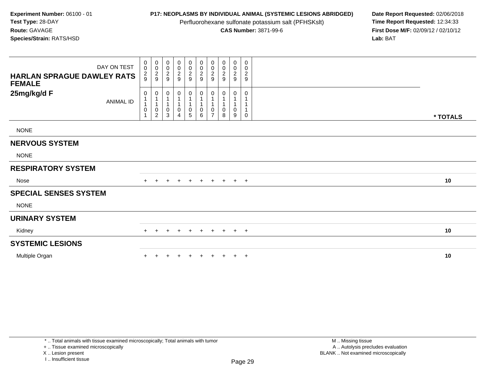Perfluorohexane sulfonate potassium salt (PFHSKslt)<br>**CAS Number:** 3871-99-6

**P17: NEOPLASMS BY INDIVIDUAL ANIMAL (SYSTEMIC LESIONS ABRIDGED)** Date Report Requested: 02/06/2018<br>Perfluorohexane sulfonate potassium salt (PFHSKslt) **Time Report Requested:** 12:34:33 **First Dose M/F:** 02/09/12 / 02/10/12<br>Lab: BAT **Lab:** BAT

| DAY ON TEST<br><b>HARLAN SPRAGUE DAWLEY RATS</b><br><b>FEMALE</b> | $\begin{smallmatrix}0\\0\end{smallmatrix}$<br>$\frac{2}{9}$ | 00029                                         | $_{\rm 0}^{\rm 0}$<br>$\overline{2}$<br>9 | 00029                 | $\begin{array}{c} 0 \\ 0 \\ 2 \\ 9 \end{array}$       | 00029                               | $_{\rm 0}^{\rm 0}$<br>$\sqrt{2}$<br>9 | $_{\rm 0}^{\rm 0}$<br>$\overline{2}$<br>9 | $\boldsymbol{0}$<br>$\frac{0}{2}$ | 0<br>0<br>$\overline{\mathbf{c}}$<br>$\boldsymbol{9}$ |          |
|-------------------------------------------------------------------|-------------------------------------------------------------|-----------------------------------------------|-------------------------------------------|-----------------------|-------------------------------------------------------|-------------------------------------|---------------------------------------|-------------------------------------------|-----------------------------------|-------------------------------------------------------|----------|
| 25mg/kg/d F<br>ANIMAL ID                                          | 0<br>1<br>0<br>1                                            | 0<br>$\mathbf{1}$<br>1<br>0<br>$\overline{c}$ | 0<br>1<br>$\pmb{0}$<br>3                  | 0<br>$\mathbf 0$<br>4 | 0<br>1<br>$\mathbf{1}$<br>$\pmb{0}$<br>$\overline{5}$ | 0<br>$\mathbf{1}$<br>$\pmb{0}$<br>6 | 0<br>0<br>$\overline{7}$              | 0<br>$\mathbf 0$<br>8                     | 0<br>0<br>9                       | 0<br>1<br>$\mathbf{1}$<br>$\mathbf 0$                 | * TOTALS |
| <b>NONE</b>                                                       |                                                             |                                               |                                           |                       |                                                       |                                     |                                       |                                           |                                   |                                                       |          |
| <b>NERVOUS SYSTEM</b>                                             |                                                             |                                               |                                           |                       |                                                       |                                     |                                       |                                           |                                   |                                                       |          |
| <b>NONE</b>                                                       |                                                             |                                               |                                           |                       |                                                       |                                     |                                       |                                           |                                   |                                                       |          |
| <b>RESPIRATORY SYSTEM</b>                                         |                                                             |                                               |                                           |                       |                                                       |                                     |                                       |                                           |                                   |                                                       |          |
| Nose                                                              | $+$                                                         | $+$                                           | $\ddot{}$                                 | $\ddot{}$             | $+$                                                   | $+$                                 | $+$                                   | $+$                                       | $+$ $+$                           |                                                       | 10       |
| <b>SPECIAL SENSES SYSTEM</b>                                      |                                                             |                                               |                                           |                       |                                                       |                                     |                                       |                                           |                                   |                                                       |          |
| <b>NONE</b>                                                       |                                                             |                                               |                                           |                       |                                                       |                                     |                                       |                                           |                                   |                                                       |          |
| <b>URINARY SYSTEM</b>                                             |                                                             |                                               |                                           |                       |                                                       |                                     |                                       |                                           |                                   |                                                       |          |
| Kidney                                                            | $+$                                                         | $\pm$                                         | $\pm$                                     | $\ddot{}$             | $+$                                                   | $+$                                 | $+$                                   | $+$                                       | $+$                               | $+$                                                   | 10       |
| <b>SYSTEMIC LESIONS</b>                                           |                                                             |                                               |                                           |                       |                                                       |                                     |                                       |                                           |                                   |                                                       |          |
| Multiple Organ                                                    |                                                             |                                               |                                           | $\pm$                 | $+$                                                   | $\ddot{}$                           | $+$                                   | $+$                                       | $+$                               | $+$                                                   | 10       |

+ .. Tissue examined microscopically

X .. Lesion present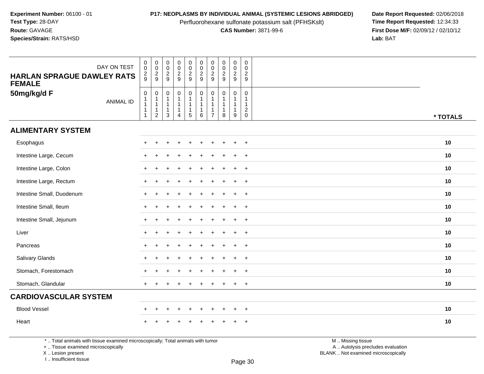Perfluorohexane sulfonate potassium salt (PFHSKslt)<br>**CAS Number:** 3871-99-6

**P17: NEOPLASMS BY INDIVIDUAL ANIMAL (SYSTEMIC LESIONS ABRIDGED)** Date Report Requested: 02/06/2018<br>Perfluorohexane sulfonate potassium salt (PFHSKslt) **Time Report Requested:** 12:34:33 **First Dose M/F:** 02/09/12 / 02/10/12<br>Lab: BAT **Lab:** BAT

| DAY ON TEST<br><b>HARLAN SPRAGUE DAWLEY RATS</b><br><b>FEMALE</b> | $\mathbf 0$<br>$\ddot{\mathbf{0}}$<br>$\frac{2}{9}$                                 | $\pmb{0}$<br>$\overline{0}$<br>$\frac{2}{9}$                                  | $\mathsf 0$<br>$\overline{0}$<br>$\frac{2}{9}$                    | $\pmb{0}$<br>$\bar{0}$<br>$\frac{2}{9}$               | $\pmb{0}$<br>$\ddot{\mathbf{0}}$<br>$\frac{2}{9}$                          | $\pmb{0}$<br>$\frac{0}{2}$<br>$9\,$ | $\mathbf 0$<br>$\mathbf 0$<br>$\frac{2}{9}$     | $\mathsf 0$<br>$\ddot{\mathbf{0}}$<br>$\overline{2}$<br>9        | $\mathbf 0$<br>$\ddot{\mathbf{0}}$<br>$\frac{2}{9}$              | $\mathbf 0$<br>$\Omega$<br>$\sqrt{2}$<br>9                        |          |  |
|-------------------------------------------------------------------|-------------------------------------------------------------------------------------|-------------------------------------------------------------------------------|-------------------------------------------------------------------|-------------------------------------------------------|----------------------------------------------------------------------------|-------------------------------------|-------------------------------------------------|------------------------------------------------------------------|------------------------------------------------------------------|-------------------------------------------------------------------|----------|--|
| 50mg/kg/d F<br><b>ANIMAL ID</b>                                   | $\mathbf 0$<br>$\overline{1}$<br>$\overline{1}$<br>$\overline{1}$<br>$\overline{1}$ | $\mathbf 0$<br>$\mathbf{1}$<br>$\mathbf{1}$<br>$\mathbf{1}$<br>$\overline{2}$ | $\mathbf 0$<br>$\mathbf 1$<br>$\overline{1}$<br>$\mathbf{1}$<br>3 | $\mathbf 0$<br>$\mathbf{1}$<br>$\mathbf{1}$<br>1<br>4 | $\mathsf{O}\xspace$<br>$\mathbf{1}$<br>$\mathbf{1}$<br>$\overline{1}$<br>5 | $\pmb{0}$<br>1<br>1<br>6            | $\mathbf 0$<br>$\overline{1}$<br>$\overline{7}$ | $\mathbf 0$<br>$\mathbf{1}$<br>$\mathbf{1}$<br>$\mathbf{1}$<br>8 | $\mathbf 0$<br>$\mathbf{1}$<br>$\mathbf{1}$<br>$\mathbf{1}$<br>9 | $\mathbf 0$<br>1<br>$\mathbf{1}$<br>$\overline{2}$<br>$\mathbf 0$ | * TOTALS |  |
| <b>ALIMENTARY SYSTEM</b>                                          |                                                                                     |                                                                               |                                                                   |                                                       |                                                                            |                                     |                                                 |                                                                  |                                                                  |                                                                   |          |  |
| Esophagus                                                         |                                                                                     |                                                                               |                                                                   |                                                       |                                                                            |                                     |                                                 |                                                                  | +                                                                | $\div$                                                            | 10       |  |
| Intestine Large, Cecum                                            |                                                                                     |                                                                               |                                                                   |                                                       |                                                                            |                                     |                                                 |                                                                  | $\ddot{}$                                                        | $\overline{+}$                                                    | 10       |  |
| Intestine Large, Colon                                            |                                                                                     |                                                                               |                                                                   |                                                       |                                                                            |                                     |                                                 |                                                                  | $\ddot{}$                                                        | $\overline{+}$                                                    | 10       |  |
| Intestine Large, Rectum                                           | $\ddot{}$                                                                           | $\ddot{}$                                                                     |                                                                   |                                                       |                                                                            |                                     |                                                 |                                                                  | $\ddot{}$                                                        | $\overline{+}$                                                    | 10       |  |
| Intestine Small, Duodenum                                         | $\div$                                                                              |                                                                               |                                                                   |                                                       |                                                                            |                                     |                                                 |                                                                  | $\ddot{}$                                                        | $\overline{ }$                                                    | 10       |  |
| Intestine Small, Ileum                                            |                                                                                     |                                                                               |                                                                   |                                                       |                                                                            |                                     |                                                 |                                                                  | $\div$                                                           | $\ddot{}$                                                         | 10       |  |
| Intestine Small, Jejunum                                          |                                                                                     |                                                                               |                                                                   |                                                       |                                                                            |                                     |                                                 |                                                                  | $\ddot{}$                                                        | $+$                                                               | 10       |  |
| Liver                                                             | $+$                                                                                 | $\div$                                                                        |                                                                   |                                                       |                                                                            |                                     |                                                 |                                                                  | $\ddot{}$                                                        | $+$                                                               | 10       |  |
| Pancreas                                                          | $\ddot{}$                                                                           | $\ddot{}$                                                                     |                                                                   |                                                       |                                                                            |                                     |                                                 |                                                                  | $\ddot{}$                                                        | $\overline{+}$                                                    | 10       |  |
| Salivary Glands                                                   |                                                                                     |                                                                               |                                                                   |                                                       |                                                                            |                                     |                                                 |                                                                  | $\div$                                                           | $\ddot{}$                                                         | 10       |  |
| Stomach, Forestomach                                              |                                                                                     |                                                                               |                                                                   |                                                       |                                                                            |                                     |                                                 |                                                                  | $\ddot{}$                                                        | $\overline{+}$                                                    | 10       |  |
| Stomach, Glandular                                                | $+$                                                                                 |                                                                               |                                                                   |                                                       |                                                                            |                                     |                                                 |                                                                  | $\ddot{}$                                                        | $+$                                                               | 10       |  |
| <b>CARDIOVASCULAR SYSTEM</b>                                      |                                                                                     |                                                                               |                                                                   |                                                       |                                                                            |                                     |                                                 |                                                                  |                                                                  |                                                                   |          |  |
| <b>Blood Vessel</b>                                               | $\pm$                                                                               | $\ddot{}$                                                                     |                                                                   | $\ddot{}$                                             | $\ddot{}$                                                                  | $\overline{+}$                      | ÷                                               | $\div$                                                           | $\ddot{}$                                                        | $+$                                                               | 10       |  |
| Heart                                                             |                                                                                     |                                                                               |                                                                   |                                                       |                                                                            |                                     |                                                 |                                                                  |                                                                  |                                                                   | 10       |  |

\* .. Total animals with tissue examined microscopically; Total animals with tumor

+ .. Tissue examined microscopically

X .. Lesion present

I .. Insufficient tissue

 M .. Missing tissuey the contract of the contract of the contract of the contract of the contract of  $\mathsf A$  . Autolysis precludes evaluation

Lesion present BLANK .. Not examined microscopically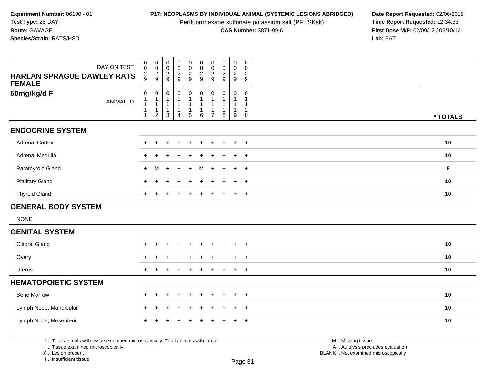Perfluorohexane sulfonate potassium salt (PFHSKslt)<br>**CAS Number:** 3871-99-6

**P17: NEOPLASMS BY INDIVIDUAL ANIMAL (SYSTEMIC LESIONS ABRIDGED)** Date Report Requested: 02/06/2018<br>Perfluorohexane sulfonate potassium salt (PFHSKslt) **Time Report Requested:** 12:34:33 **First Dose M/F:** 02/09/12 / 02/10/12<br>Lab: BAT **Lab:** BAT

| DAY ON TEST<br><b>HARLAN SPRAGUE DAWLEY RATS</b><br><b>FEMALE</b> | $_{\rm 0}^{\rm 0}$<br>$\frac{2}{9}$ | $\begin{array}{c} 0 \\ 0 \\ 2 \\ 9 \end{array}$                                | $\begin{smallmatrix} 0\\0 \end{smallmatrix}$<br>$\frac{2}{9}$  | $\mathbf 0$<br>$\ddot{\mathbf{0}}$<br>$\frac{2}{9}$ | $_{\rm 0}^{\rm 0}$<br>$\frac{2}{9}$                                         | $_{\rm 0}^{\rm 0}$<br>$\frac{2}{9}$                                  | $\pmb{0}$<br>$\ddot{\mathbf{0}}$<br>$\frac{2}{9}$ | $\mathsf 0$<br>$\ddot{\mathbf{0}}$<br>$\frac{2}{9}$   | $\pmb{0}$<br>$\overline{0}$<br>$\frac{2}{9}$                          | $\pmb{0}$<br>$\mathbf 0$<br>$\sqrt{2}$<br>$\boldsymbol{9}$ |          |
|-------------------------------------------------------------------|-------------------------------------|--------------------------------------------------------------------------------|----------------------------------------------------------------|-----------------------------------------------------|-----------------------------------------------------------------------------|----------------------------------------------------------------------|---------------------------------------------------|-------------------------------------------------------|-----------------------------------------------------------------------|------------------------------------------------------------|----------|
| 50mg/kg/d F<br><b>ANIMAL ID</b>                                   | $\mathbf 0$<br>1                    | $\begin{array}{c} 0 \\ 1 \\ 1 \end{array}$<br>$\overline{1}$<br>$\overline{2}$ | $\pmb{0}$<br>$\mathbf{1}$<br>$\mathbf{1}$<br>$\mathbf{1}$<br>3 | 0<br>1<br>4                                         | $\pmb{0}$<br>$\mathbf{1}$<br>$\mathbf{1}$<br>$\mathbf{1}$<br>$\overline{5}$ | $\pmb{0}$<br>$\mathbf{1}$<br>$\mathbf{1}$<br>$\mathbf{1}$<br>$\,6\,$ | 0<br>1<br>$\overline{7}$                          | $\mathbf 0$<br>$\mathbf{1}$<br>1<br>$\mathbf{1}$<br>8 | 0<br>$\mathbf{1}$<br>$\mathbf{1}$<br>$\mathbf{1}$<br>$\boldsymbol{9}$ | 0<br>1<br>$\mathbf{1}$<br>$\overline{c}$<br>$\mathbf 0$    | * TOTALS |
| <b>ENDOCRINE SYSTEM</b>                                           |                                     |                                                                                |                                                                |                                                     |                                                                             |                                                                      |                                                   |                                                       |                                                                       |                                                            |          |
| <b>Adrenal Cortex</b>                                             | ÷                                   |                                                                                |                                                                |                                                     |                                                                             |                                                                      |                                                   |                                                       | $\ddot{}$                                                             | $\overline{+}$                                             | 10       |
| Adrenal Medulla                                                   |                                     |                                                                                |                                                                |                                                     |                                                                             |                                                                      |                                                   |                                                       | $\ddot{}$                                                             | $\overline{+}$                                             | 10       |
| Parathyroid Gland                                                 | $+$                                 | м                                                                              | $\ddot{}$                                                      | $\ddot{}$                                           |                                                                             | м                                                                    |                                                   |                                                       | $\ddot{}$                                                             | $+$                                                        | 8        |
| <b>Pituitary Gland</b>                                            | $\ddot{}$                           |                                                                                |                                                                |                                                     |                                                                             |                                                                      |                                                   |                                                       | $\ddot{}$                                                             | $+$                                                        | 10       |
| <b>Thyroid Gland</b>                                              | $\ddot{}$                           |                                                                                |                                                                |                                                     |                                                                             | ٠                                                                    |                                                   |                                                       | $\ddot{}$                                                             | $+$                                                        | 10       |
| <b>GENERAL BODY SYSTEM</b>                                        |                                     |                                                                                |                                                                |                                                     |                                                                             |                                                                      |                                                   |                                                       |                                                                       |                                                            |          |
| <b>NONE</b>                                                       |                                     |                                                                                |                                                                |                                                     |                                                                             |                                                                      |                                                   |                                                       |                                                                       |                                                            |          |
| <b>GENITAL SYSTEM</b>                                             |                                     |                                                                                |                                                                |                                                     |                                                                             |                                                                      |                                                   |                                                       |                                                                       |                                                            |          |
| <b>Clitoral Gland</b>                                             | $\ddot{}$                           | ÷.                                                                             |                                                                | $\ddot{}$                                           | $\ddot{}$                                                                   | $\pm$                                                                | ÷                                                 |                                                       | $\ddot{+}$                                                            | $+$                                                        | 10       |
| Ovary                                                             | $\ddot{}$                           |                                                                                |                                                                |                                                     |                                                                             | ÷                                                                    |                                                   |                                                       | $\ddot{}$                                                             | $\overline{+}$                                             | 10       |
| <b>Uterus</b>                                                     | $+$                                 | $\ddot{}$                                                                      |                                                                | ÷                                                   |                                                                             | ÷                                                                    | +                                                 |                                                       | $\ddot{}$                                                             | $+$                                                        | 10       |
| <b>HEMATOPOIETIC SYSTEM</b>                                       |                                     |                                                                                |                                                                |                                                     |                                                                             |                                                                      |                                                   |                                                       |                                                                       |                                                            |          |
| <b>Bone Marrow</b>                                                | $+$                                 | $\ddot{}$                                                                      | ÷                                                              | $\ddot{}$                                           | $\ddot{}$                                                                   | $\ddot{}$                                                            | ÷                                                 |                                                       | $\ddot{+}$                                                            | $+$                                                        | 10       |
| Lymph Node, Mandibular                                            |                                     |                                                                                |                                                                |                                                     |                                                                             |                                                                      |                                                   |                                                       |                                                                       | $\ddot{}$                                                  | 10       |
| Lymph Node, Mesenteric                                            |                                     |                                                                                |                                                                |                                                     |                                                                             |                                                                      |                                                   |                                                       |                                                                       | $\div$                                                     | 10       |

\* .. Total animals with tissue examined microscopically; Total animals with tumor

+ .. Tissue examined microscopically

X .. Lesion present

I .. Insufficient tissue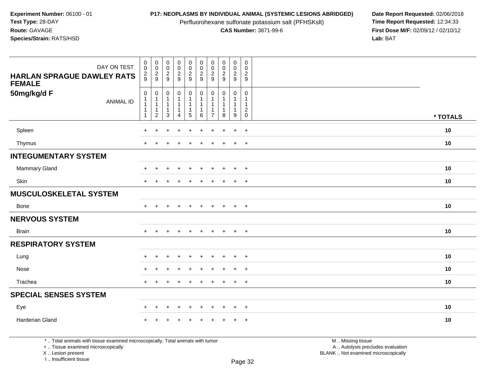Perfluorohexane sulfonate potassium salt (PFHSKslt)<br>**CAS Number:** 3871-99-6

**P17: NEOPLASMS BY INDIVIDUAL ANIMAL (SYSTEMIC LESIONS ABRIDGED)** Date Report Requested: 02/06/2018<br>Perfluorohexane sulfonate potassium salt (PFHSKslt) **Time Report Requested:** 12:34:33 **First Dose M/F:** 02/09/12 / 02/10/12<br>Lab: BAT **Lab:** BAT

| DAY ON TEST<br><b>HARLAN SPRAGUE DAWLEY RATS</b><br><b>FEMALE</b> | $_{\rm 0}^{\rm 0}$<br>$\frac{2}{9}$                                     | $\pmb{0}$<br>$\frac{0}{2}$                                                   | $_{\rm 0}^{\rm 0}$<br>$\boldsymbol{2}$<br>9                                        | $\begin{array}{c} 0 \\ 0 \\ 2 \\ 9 \end{array}$                  | $\pmb{0}$<br>$\mathbf 0$<br>$\frac{2}{9}$                                      | $_{\rm 0}^{\rm 0}$<br>$\overline{\mathbf{c}}$<br>9    | $\pmb{0}$<br>$\begin{smallmatrix} 0\\2 \end{smallmatrix}$<br>9 | $\begin{array}{c} 0 \\ 0 \\ 2 \\ 9 \end{array}$ | $\begin{smallmatrix} 0\\0 \end{smallmatrix}$<br>$\frac{2}{9}$ | $\mathbf 0$<br>$\mathbf 0$<br>$\boldsymbol{2}$<br>9                                  |          |
|-------------------------------------------------------------------|-------------------------------------------------------------------------|------------------------------------------------------------------------------|------------------------------------------------------------------------------------|------------------------------------------------------------------|--------------------------------------------------------------------------------|-------------------------------------------------------|----------------------------------------------------------------|-------------------------------------------------|---------------------------------------------------------------|--------------------------------------------------------------------------------------|----------|
| 50mg/kg/d F<br><b>ANIMAL ID</b>                                   | $\pmb{0}$<br>$\mathbf 1$<br>$\mathbf{1}$<br>$\mathbf 1$<br>$\mathbf{1}$ | $\mathbf 0$<br>$\mathbf 1$<br>$\mathbf{1}$<br>$\mathbf{1}$<br>$\overline{2}$ | $\boldsymbol{0}$<br>$\mathbf{1}$<br>$\overline{1}$<br>$\mathbf{1}$<br>$\mathbf{3}$ | $\pmb{0}$<br>$\mathbf{1}$<br>$\mathbf{1}$<br>1<br>$\overline{4}$ | $\mathbf 0$<br>$\mathbf{1}$<br>$\mathbf{1}$<br>$\mathbf{1}$<br>$5\phantom{.0}$ | $\mathbf 0$<br>$\mathbf{1}$<br>$\mathbf{1}$<br>1<br>6 | 0<br>-1<br>$\mathbf{1}$<br>$\mathbf 1$<br>$\overline{7}$       | $\mathbf 0$<br>$\mathbf{1}$<br>1<br>$\bf8$      | $\pmb{0}$<br>$\overline{1}$<br>1<br>9                         | $\pmb{0}$<br>$\mathbf{1}$<br>$\mathbf{1}$<br>$\boldsymbol{2}$<br>$\mathsf{O}\xspace$ | * TOTALS |
| Spleen                                                            | $+$                                                                     | +                                                                            | +                                                                                  | $\ddot{}$                                                        | $\ddot{}$                                                                      | $\ddot{}$                                             | $\ddot{}$                                                      | $\ddot{}$                                       | $\ddot{}$                                                     | $+$                                                                                  | 10       |
| Thymus                                                            | $+$                                                                     | $\ddot{}$                                                                    | ÷.                                                                                 | $\ddot{}$                                                        |                                                                                | $\ddot{}$                                             | $\ddot{}$                                                      | $\overline{1}$                                  | $+$                                                           | $+$                                                                                  | 10       |
| <b>INTEGUMENTARY SYSTEM</b>                                       |                                                                         |                                                                              |                                                                                    |                                                                  |                                                                                |                                                       |                                                                |                                                 |                                                               |                                                                                      |          |
| Mammary Gland                                                     | $\pm$                                                                   | $\ddot{}$                                                                    | ÷                                                                                  | $\ddot{}$                                                        | $\ddot{}$                                                                      | $\ddot{}$                                             | $\pm$                                                          | $\ddot{}$                                       | $+$                                                           | $+$                                                                                  | 10       |
| Skin                                                              | $+$                                                                     |                                                                              |                                                                                    | $\ddot{}$                                                        |                                                                                | $\div$                                                |                                                                | $\div$                                          | $\ddot{}$                                                     | $+$                                                                                  | 10       |
| <b>MUSCULOSKELETAL SYSTEM</b>                                     |                                                                         |                                                                              |                                                                                    |                                                                  |                                                                                |                                                       |                                                                |                                                 |                                                               |                                                                                      |          |
| Bone                                                              | $+$                                                                     |                                                                              |                                                                                    |                                                                  |                                                                                | $\ddot{}$                                             |                                                                | $\overline{+}$                                  | $+$                                                           | $+$                                                                                  | 10       |
| <b>NERVOUS SYSTEM</b>                                             |                                                                         |                                                                              |                                                                                    |                                                                  |                                                                                |                                                       |                                                                |                                                 |                                                               |                                                                                      |          |
| <b>Brain</b>                                                      | $+$                                                                     | $\ddot{}$                                                                    |                                                                                    | $\ddot{}$                                                        | $\ddot{}$                                                                      | $+$                                                   | $+$                                                            | $+$                                             | $+$                                                           | $+$                                                                                  | 10       |
| <b>RESPIRATORY SYSTEM</b>                                         |                                                                         |                                                                              |                                                                                    |                                                                  |                                                                                |                                                       |                                                                |                                                 |                                                               |                                                                                      |          |
| Lung                                                              | ÷                                                                       | 4                                                                            |                                                                                    | $\div$                                                           |                                                                                | $\div$                                                |                                                                |                                                 | $\ddot{}$                                                     | $+$                                                                                  | 10       |
| Nose                                                              | $+$                                                                     | $\div$                                                                       |                                                                                    | $\ddot{}$                                                        | $\div$                                                                         | $\ddot{}$                                             | $\div$                                                         | $\overline{1}$                                  | $+$                                                           | $+$                                                                                  | 10       |
| Trachea                                                           | $+$                                                                     | $\div$                                                                       |                                                                                    | $\ddot{}$                                                        |                                                                                | $\div$                                                | $\pm$                                                          | $\overline{ }$                                  | $+$                                                           | $+$                                                                                  | 10       |
| <b>SPECIAL SENSES SYSTEM</b>                                      |                                                                         |                                                                              |                                                                                    |                                                                  |                                                                                |                                                       |                                                                |                                                 |                                                               |                                                                                      |          |
| Eye                                                               | $\pm$                                                                   | $\div$                                                                       |                                                                                    | $\ddot{}$                                                        | ÷                                                                              | $\div$                                                |                                                                |                                                 | $\pm$                                                         | $+$                                                                                  | 10       |
| Harderian Gland                                                   | $\ddot{}$                                                               |                                                                              |                                                                                    |                                                                  |                                                                                |                                                       |                                                                |                                                 | $\ddot{}$                                                     | $+$                                                                                  | 10       |

\* .. Total animals with tissue examined microscopically; Total animals with tumor

+ .. Tissue examined microscopically

X .. Lesion present

I .. Insufficient tissue

 M .. Missing tissuey the contract of the contract of the contract of the contract of the contract of  $\mathsf A$  . Autolysis precludes evaluation

Lesion present BLANK .. Not examined microscopically